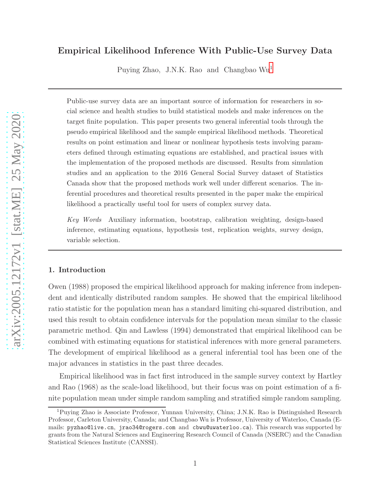# Empirical Likelihood Inference With Public-Use Survey Data

Puying Zhao, J.N.K. Rao and Changbao Wu[1](#page-0-0)

Public-use survey data are an important source of information for researchers in social science and health studies to build statistical models and make inferences on the target finite population. This paper presents two general inferential tools through the pseudo empirical likelihood and the sample empirical likelihood methods. Theoretical results on point estimation and linear or nonlinear hypothesis tests involving parameters defined through estimating equations are established, and practical issues with the implementation of the proposed methods are discussed. Results from simulation studies and an application to the 2016 General Social Survey dataset of Statistics Canada show that the proposed methods work well under different scenarios. The inferential procedures and theoretical results presented in the paper make the empirical likelihood a practically useful tool for users of complex survey data.

Key Words Auxiliary information, bootstrap, calibration weighting, design-based inference, estimating equations, hypothesis test, replication weights, survey design, variable selection.

## 1. Introduction

Owen (1988) proposed the empirical likelihood approach for making inference from independent and identically distributed random samples. He showed that the empirical likelihood ratio statistic for the population mean has a standard limiting chi-squared distribution, and used this result to obtain confidence intervals for the population mean similar to the classic parametric method. Qin and Lawless (1994) demonstrated that empirical likelihood can be combined with estimating equations for statistical inferences with more general parameters. The development of empirical likelihood as a general inferential tool has been one of the major advances in statistics in the past three decades.

Empirical likelihood was in fact first introduced in the sample survey context by Hartley and Rao (1968) as the scale-load likelihood, but their focus was on point estimation of a finite population mean under simple random sampling and stratified simple random sampling.

<span id="page-0-0"></span><sup>1</sup>Puying Zhao is Associate Professor, Yunnan University, China; J.N.K. Rao is Distinguished Research Professor, Carleton University, Canada; and Changbao Wu is Professor, University of Waterloo, Canada (Emails: pyzhao@live.cn, jrao34@rogers.com and cbwu@uwaterloo.ca). This research was supported by grants from the Natural Sciences and Engineering Research Council of Canada (NSERC) and the Canadian Statistical Sciences Institute (CANSSI).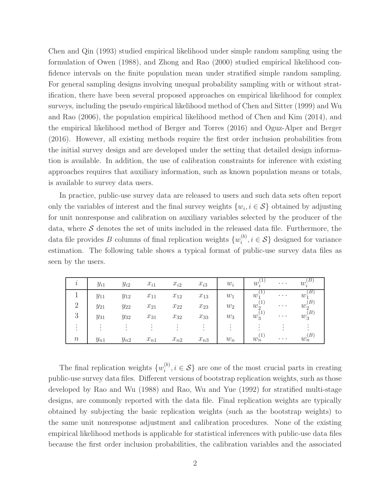Chen and Qin (1993) studied empirical likelihood under simple random sampling using the formulation of Owen (1988), and Zhong and Rao (2000) studied empirical likelihood confidence intervals on the finite population mean under stratified simple random sampling. For general sampling designs involving unequal probability sampling with or without stratification, there have been several proposed approaches on empirical likelihood for complex surveys, including the pseudo empirical likelihood method of Chen and Sitter (1999) and Wu and Rao (2006), the population empirical likelihood method of Chen and Kim (2014), and the empirical likelihood method of Berger and Torres (2016) and Oguz-Alper and Berger (2016). However, all existing methods require the first order inclusion probabilities from the initial survey design and are developed under the setting that detailed design information is available. In addition, the use of calibration constraints for inference with existing approaches requires that auxiliary information, such as known population means or totals, is available to survey data users.

In practice, public-use survey data are released to users and such data sets often report only the variables of interest and the final survey weights  $\{w_i, i \in \mathcal{S}\}\$  obtained by adjusting for unit nonresponse and calibration on auxiliary variables selected by the producer of the data, where  $\mathcal S$  denotes the set of units included in the released data file. Furthermore, the data file provides B columns of final replication weights  $\{w_i^{(b)}\}$  $i^{(0)}$ ,  $i \in S$  designed for variance estimation. The following table shows a typical format of public-use survey data files as seen by the users.

|                                  | $y_{i1}$ | $y_{i2}$  | $x_{i1}$ | $x_{i2}$ | $x_{i3}$             | $w_i$              | $w_i$                          | $\cdots$ | $w_i$                          |
|----------------------------------|----------|-----------|----------|----------|----------------------|--------------------|--------------------------------|----------|--------------------------------|
|                                  | $y_{11}$ | $y_{12}$  | $x_{11}$ | $x_{12}$ | $x_{13}$             | $w_1$              | $w_1$                          | $\cdots$ | $w_1$                          |
| $\Omega$                         | $y_{21}$ | $y_{22}$  | $x_{21}$ | $x_{22}$ | $x_{23}$             | $\boldsymbol{w}_2$ | $w_2^{\scriptscriptstyle\vee}$ | $\cdots$ | $w_2^{\scriptscriptstyle\vee}$ |
| 3                                | $y_{31}$ | $y_{32}$  | $x_{31}$ | $x_{32}$ | $x_{33}$             | $w_3$              | $w_3^{\backslash}$             | $\cdots$ | $w_3^{\backslash}$             |
| $\bullet$<br>٠<br>$\blacksquare$ | $\cdot$  | $\bullet$ | $\cdot$  | $\cdot$  | $\bullet$<br>$\cdot$ |                    |                                |          |                                |
| $\, n$                           | $y_{n1}$ | $y_{n2}$  | $x_{n1}$ | $x_{n2}$ | $x_{n3}$             | $w_n$              | $w_n$                          | $\cdots$ | $w_n$                          |

The final replication weights  $\{w_i^{(b)}\}$  $i^{(0)}$ ,  $i \in S$  are one of the most crucial parts in creating public-use survey data files. Different versions of bootstrap replication weights, such as those developed by Rao and Wu (1988) and Rao, Wu and Yue (1992) for stratified multi-stage designs, are commonly reported with the data file. Final replication weights are typically obtained by subjecting the basic replication weights (such as the bootstrap weights) to the same unit nonresponse adjustment and calibration procedures. None of the existing empirical likelihood methods is applicable for statistical inferences with public-use data files because the first order inclusion probabilities, the calibration variables and the associated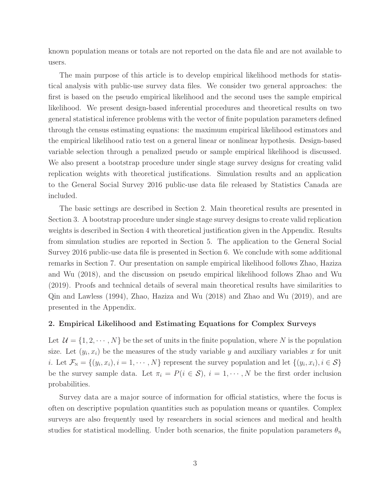known population means or totals are not reported on the data file and are not available to users.

The main purpose of this article is to develop empirical likelihood methods for statistical analysis with public-use survey data files. We consider two general approaches: the first is based on the pseudo empirical likelihood and the second uses the sample empirical likelihood. We present design-based inferential procedures and theoretical results on two general statistical inference problems with the vector of finite population parameters defined through the census estimating equations: the maximum empirical likelihood estimators and the empirical likelihood ratio test on a general linear or nonlinear hypothesis. Design-based variable selection through a penalized pseudo or sample empirical likelihood is discussed. We also present a bootstrap procedure under single stage survey designs for creating valid replication weights with theoretical justifications. Simulation results and an application to the General Social Survey 2016 public-use data file released by Statistics Canada are included.

The basic settings are described in Section 2. Main theoretical results are presented in Section 3. A bootstrap procedure under single stage survey designs to create valid replication weights is described in Section 4 with theoretical justification given in the Appendix. Results from simulation studies are reported in Section 5. The application to the General Social Survey 2016 public-use data file is presented in Section 6. We conclude with some additional remarks in Section 7. Our presentation on sample empirical likelihood follows Zhao, Haziza and Wu (2018), and the discussion on pseudo empirical likelihood follows Zhao and Wu (2019). Proofs and technical details of several main theoretical results have similarities to Qin and Lawless (1994), Zhao, Haziza and Wu (2018) and Zhao and Wu (2019), and are presented in the Appendix.

## 2. Empirical Likelihood and Estimating Equations for Complex Surveys

Let  $\mathcal{U} = \{1, 2, \dots, N\}$  be the set of units in the finite population, where N is the population size. Let  $(y_i, x_i)$  be the measures of the study variable y and auxiliary variables x for unit *i*. Let  $\mathcal{F}_{N} = \{(y_i, x_i), i = 1, \cdots, N\}$  represent the survey population and let  $\{(y_i, x_i), i \in \mathcal{S}\}\$ be the survey sample data. Let  $\pi_i = P(i \in S), i = 1, \dots, N$  be the first order inclusion probabilities.

Survey data are a major source of information for official statistics, where the focus is often on descriptive population quantities such as population means or quantiles. Complex surveys are also frequently used by researchers in social sciences and medical and health studies for statistical modelling. Under both scenarios, the finite population parameters  $\theta_N$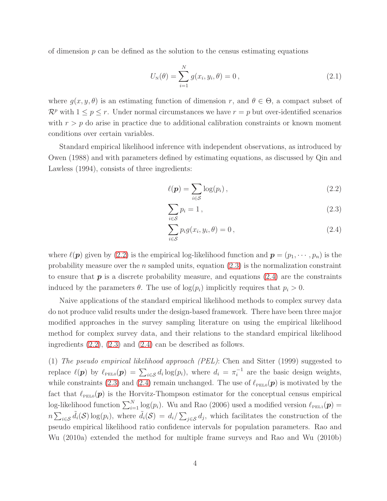of dimension  $p$  can be defined as the solution to the census estimating equations

<span id="page-3-1"></span>
$$
U_{N}(\theta) = \sum_{i=1}^{N} g(x_{i}, y_{i}, \theta) = 0, \qquad (2.1)
$$

where  $g(x, y, \theta)$  is an estimating function of dimension r, and  $\theta \in \Theta$ , a compact subset of  $\mathcal{R}^p$  with  $1 \leq p \leq r$ . Under normal circumstances we have  $r = p$  but over-identified scenarios with  $r > p$  do arise in practice due to additional calibration constraints or known moment conditions over certain variables.

Standard empirical likelihood inference with independent observations, as introduced by Owen (1988) and with parameters defined by estimating equations, as discussed by Qin and Lawless (1994), consists of three ingredients:

<span id="page-3-0"></span>
$$
\ell(\mathbf{p}) = \sum_{i \in \mathcal{S}} \log(p_i) \,, \tag{2.2}
$$

$$
\sum_{i \in S} p_i = 1 \,, \tag{2.3}
$$

$$
\sum_{i \in S} p_i g(x_i, y_i, \theta) = 0, \qquad (2.4)
$$

where  $\ell(\mathbf{p})$  given by [\(2.2\)](#page-3-0) is the empirical log-likelihood function and  $\mathbf{p} = (p_1, \dots, p_n)$  is the probability measure over the *n* sampled units, equation  $(2.3)$  is the normalization constraint to ensure that  $p$  is a discrete probability measure, and equations [\(2.4\)](#page-3-0) are the constraints induced by the parameters  $\theta$ . The use of  $log(p_i)$  implicitly requires that  $p_i > 0$ .

Naive applications of the standard empirical likelihood methods to complex survey data do not produce valid results under the design-based framework. There have been three major modified approaches in the survey sampling literature on using the empirical likelihood method for complex survey data, and their relations to the standard empirical likelihood ingredients [\(2.2\)](#page-3-0), [\(2.3\)](#page-3-0) and [\(2.4\)](#page-3-0) can be described as follows.

(1) The pseudo empirical likelihood approach (PEL): Chen and Sitter (1999) suggested to replace  $\ell(\mathbf{p})$  by  $\ell_{\text{PELO}}(\mathbf{p}) = \sum_{i \in \mathcal{S}} d_i \log(p_i)$ , where  $d_i = \pi_i^{-1}$  $i^{-1}$  are the basic design weights, while constraints [\(2.3\)](#page-3-0) and [\(2.4\)](#page-3-0) remain unchanged. The use of  $\ell_{PELO}(\boldsymbol{p})$  is motivated by the fact that  $\ell_{\text{PELo}}(\boldsymbol{p})$  is the Horvitz-Thompson estimator for the conceptual census empirical log-likelihood function  $\sum_{i=1}^{N} \log(p_i)$ . Wu and Rao (2006) used a modified version  $\ell_{\text{PEL1}}(\boldsymbol{p}) =$  $n\sum_{i\in\mathcal{S}}\tilde{d}_i(\mathcal{S})\log(p_i)$ , where  $\tilde{d}_i(\mathcal{S})=d_i/\sum_{j\in\mathcal{S}}d_j$ , which facilitates the construction of the pseudo empirical likelihood ratio confidence intervals for population parameters. Rao and Wu (2010a) extended the method for multiple frame surveys and Rao and Wu (2010b)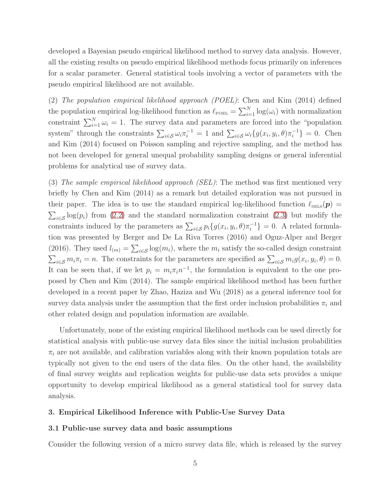developed a Bayesian pseudo empirical likelihood method to survey data analysis. However, all the existing results on pseudo empirical likelihood methods focus primarily on inferences for a scalar parameter. General statistical tools involving a vector of parameters with the pseudo empirical likelihood are not available.

(2) The population empirical likelihood approach (POEL): Chen and Kim (2014) defined the population empirical log-likelihood function as  $\ell_{\text{poeL}} = \sum_{i=1}^{N} \log(\omega_i)$  with normalization constraint  $\sum_{i=1}^{N} \omega_i = 1$ . The survey data and parameters are forced into the "population" system" through the constraints  $\sum_{i \in S} \omega_i \pi_i^{-1} = 1$  and  $\sum_{i \in S} \omega_i \{g(x_i, y_i, \theta) \pi_i^{-1}\} = 0$ . Chen and Kim (2014) focused on Poisson sampling and rejective sampling, and the method has not been developed for general unequal probability sampling designs or general inferential problems for analytical use of survey data.

(3) The sample empirical likelihood approach (SEL): The method was first mentioned very briefly by Chen and Kim (2014) as a remark but detailed exploration was not pursued in their paper. The idea is to use the standard empirical log-likelihood function  $\ell_{\text{SEL0}}(\boldsymbol{p}) =$  $\sum_{i\in\mathcal{S}}\log(p_i)$  from [\(2.2\)](#page-3-0) and the standard normalization constraint [\(2.3\)](#page-3-0) but modify the constraints induced by the parameters as  $\sum_{i \in S} p_i \{g(x_i, y_i, \theta) \pi_i^{-1}\}$  $i^{-1}$ } = 0. A related formulation was presented by Berger and De La Riva Torres (2016) and Oguz-Alper and Berger (2016). They used  $l_{(m)} = \sum_{i \in \mathcal{S}} \log(m_i)$ , where the  $m_i$  satisfy the so-called design constraint  $\sum_{i\in\mathcal{S}} m_i \pi_i = n$ . The constraints for the parameters are specified as  $\sum_{i\in\mathcal{S}} m_i g(x_i, y_i, \theta) = 0$ . It can be seen that, if we let  $p_i = m_i \pi_i n^{-1}$ , the formulation is equivalent to the one proposed by Chen and Kim (2014). The sample empirical likelihood method has been further developed in a recent paper by Zhao, Haziza and Wu (2018) as a general inference tool for survey data analysis under the assumption that the first order inclusion probabilities  $\pi_i$  and other related design and population information are available.

Unfortunately, none of the existing empirical likelihood methods can be used directly for statistical analysis with public-use survey data files since the initial inclusion probabilities  $\pi_i$  are not available, and calibration variables along with their known population totals are typically not given to the end users of the data files. On the other hand, the availability of final survey weights and replication weights for public-use data sets provides a unique opportunity to develop empirical likelihood as a general statistical tool for survey data analysis.

## 3. Empirical Likelihood Inference with Public-Use Survey Data

#### 3.1 Public-use survey data and basic assumptions

Consider the following version of a micro survey data file, which is released by the survey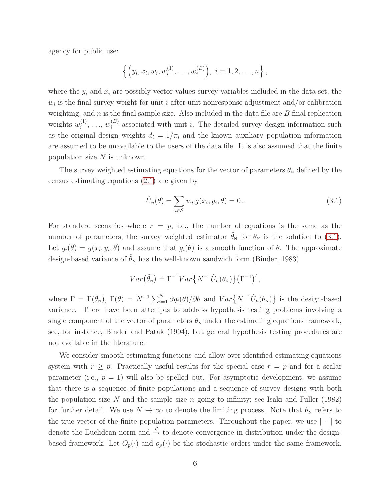agency for public use:

$$
\left\{ \left( y_i, x_i, w_i, w_i^{(1)}, \ldots, w_i^{(B)} \right), i = 1, 2, \ldots, n \right\},\
$$

where the  $y_i$  and  $x_i$  are possibly vector-values survey variables included in the data set, the  $w_i$  is the final survey weight for unit *i* after unit nonresponse adjustment and/or calibration weighting, and  $n$  is the final sample size. Also included in the data file are  $B$  final replication weights  $w_i^{(1)}$  $\binom{1}{i}, \ldots, w_i^{(B)}$  $i<sup>(B)</sup>$  associated with unit *i*. The detailed survey design information such as the original design weights  $d_i = 1/\pi_i$  and the known auxiliary population information are assumed to be unavailable to the users of the data file. It is also assumed that the finite population size  $N$  is unknown.

The survey weighted estimating equations for the vector of parameters  $\theta_{N}$  defined by the census estimating equations [\(2.1\)](#page-3-1) are given by

<span id="page-5-0"></span>
$$
\hat{U}_n(\theta) = \sum_{i \in \mathcal{S}} w_i g(x_i, y_i, \theta) = 0.
$$
\n(3.1)

For standard scenarios where  $r = p$ , i.e., the number of equations is the same as the number of parameters, the survey weighted estimator  $\hat{\theta}_N$  for  $\theta_N$  is the solution to [\(3.1\)](#page-5-0). Let  $g_i(\theta) = g(x_i, y_i, \theta)$  and assume that  $g_i(\theta)$  is a smooth function of  $\theta$ . The approximate design-based variance of  $\hat{\theta}_N$  has the well-known sandwich form (Binder, 1983)

$$
Var(\hat{\theta}_N) \doteq \Gamma^{-1}Var\{N^{-1}\hat{U}_n(\theta_N)\}\big(\Gamma^{-1}\big)',
$$

where  $\Gamma = \Gamma(\theta_N)$ ,  $\Gamma(\theta) = N^{-1} \sum_{i=1}^N \partial g_i(\theta) / \partial \theta$  and  $Var\{N^{-1} \hat{U}_n(\theta_N)\}\$ is the design-based variance. There have been attempts to address hypothesis testing problems involving a single component of the vector of parameters  $\theta_N$  under the estimating equations framework, see, for instance, Binder and Patak (1994), but general hypothesis testing procedures are not available in the literature.

We consider smooth estimating functions and allow over-identified estimating equations system with  $r \geq p$ . Practically useful results for the special case  $r = p$  and for a scalar parameter (i.e.,  $p = 1$ ) will also be spelled out. For asymptotic development, we assume that there is a sequence of finite populations and a sequence of survey designs with both the population size  $N$  and the sample size  $n$  going to infinity; see Isaki and Fuller (1982) for further detail. We use  $N \to \infty$  to denote the limiting process. Note that  $\theta_N$  refers to the true vector of the finite population parameters. Throughout the paper, we use  $\|\cdot\|$  to denote the Euclidean norm and  $\stackrel{\mathcal{L}}{\rightarrow}$  to denote convergence in distribution under the designbased framework. Let  $O_p(\cdot)$  and  $o_p(\cdot)$  be the stochastic orders under the same framework.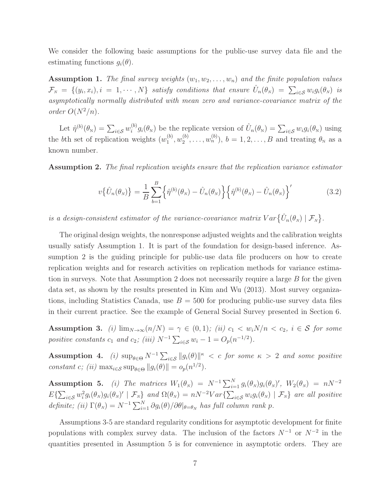We consider the following basic assumptions for the public-use survey data file and the estimating functions  $g_i(\theta)$ .

**Assumption 1.** The final survey weights  $(w_1, w_2, \ldots, w_n)$  and the finite population values  $\mathcal{F}_N = \{(y_i, x_i), i = 1, \cdots, N\}$  satisfy conditions that ensure  $\hat{U}_n(\theta_N) = \sum_{i \in \mathcal{S}} w_i g_i(\theta_N)$  is asymptotically normally distributed with mean zero and variance-covariance matrix of the order  $O(N^2/n)$ .

Let  $\hat{\eta}^{(b)}(\theta_{N}) = \sum_{i \in \mathcal{S}} w_i^{(b)}$  $\hat{U}_i^{(b)}g_i(\theta_\text{N})$  be the replicate version of  $\hat{U}_n(\theta_\text{N}) = \sum_{i \in S} w_i g_i(\theta_\text{N})$  using the bth set of replication weights  $(w_1^{(b)})$  $\binom{b}{1}, w_2^{(b)}$  $\mathcal{L}_2^{(b)}, \ldots, \mathcal{L}_n^{(b)}$ ,  $b = 1, 2, \ldots, B$  and treating  $\theta_N$  as a known number.

Assumption 2. The final replication weights ensure that the replication variance estimator

$$
v\{\hat{U}_n(\theta_N)\} = \frac{1}{B} \sum_{b=1}^B \{\hat{\eta}^{(b)}(\theta_N) - \hat{U}_n(\theta_N)\} \{\hat{\eta}^{(b)}(\theta_N) - \hat{U}_n(\theta_N)\}^\prime
$$
(3.2)

is a design-consistent estimator of the variance-covariance matrix  $Var\{\hat{U}_n(\theta_N) | \mathcal{F}_N\}.$ 

The original design weights, the nonresponse adjusted weights and the calibration weights usually satisfy Assumption 1. It is part of the foundation for design-based inference. Assumption 2 is the guiding principle for public-use data file producers on how to create replication weights and for research activities on replication methods for variance estimation in surveys. Note that Assumption 2 does not necessarily require a large B for the given data set, as shown by the results presented in Kim and Wu (2013). Most survey organizations, including Statistics Canada, use  $B = 500$  for producing public-use survey data files in their current practice. See the example of General Social Survey presented in Section 6.

Assumption 3. (i)  $\lim_{N\to\infty} (n/N) = \gamma \in (0,1);$  (ii)  $c_1 < w_i N/n < c_2, i \in S$  for some positive constants  $c_1$  and  $c_2$ ; (iii)  $N^{-1} \sum_{i \in S} w_i - 1 = O_p(n^{-1/2})$ .

Assumption 4. (i)  $\sup_{\theta \in \Theta} N^{-1} \sum_{i \in \mathcal{S}} ||g_i(\theta)||^{\kappa} < c$  for some  $\kappa > 2$  and some positive constant c; (ii)  $\max_{i \in \mathcal{S}} \sup_{\theta \in \Theta} ||g_i(\theta)|| = o_p(n^{1/2}).$ 

Assumption 5. (i) The matrices  $W_1(\theta_N) = N^{-1} \sum_{i=1}^N g_i(\theta_N) g_i(\theta_N)'$ ,  $W_2(\theta_N) = nN^{-2}$  $E\{\sum_{i\in\mathcal{S}}w_i^2g_i(\theta_N)g_i(\theta_N)' | \mathcal{F}_N\}$  and  $\Omega(\theta_N) = nN^{-2}Var\{\sum_{i\in\mathcal{S}}w_ig_i(\theta_N) | \mathcal{F}_N\}$  are all positive definite; (ii)  $\Gamma(\theta_N) = N^{-1} \sum_{i=1}^N \partial g_i(\theta) / \partial \theta |_{\theta=\theta_N}$  has full column rank p.

Assumptions 3-5 are standard regularity conditions for asymptotic development for finite populations with complex survey data. The inclusion of the factors  $N^{-1}$  or  $N^{-2}$  in the quantities presented in Assumption 5 is for convenience in asymptotic orders. They are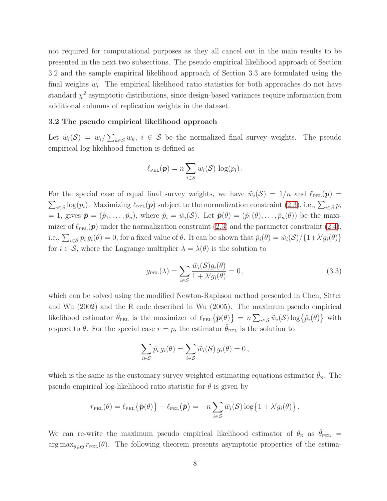not required for computational purposes as they all cancel out in the main results to be presented in the next two subsections. The pseudo empirical likelihood approach of Section 3.2 and the sample empirical likelihood approach of Section 3.3 are formulated using the final weights  $w_i$ . The empirical likelihood ratio statistics for both approaches do not have standard  $\chi^2$  asymptotic distributions, since design-based variances require information from additional columns of replication weights in the dataset.

### 3.2 The pseudo empirical likelihood approach

Let  $\tilde{w}_i(\mathcal{S}) = w_i / \sum_{k \in \mathcal{S}} w_k$ ,  $i \in \mathcal{S}$  be the normalized final survey weights. The pseudo empirical log-likelihood function is defined as

$$
\ell_{\text{PEL}}(\boldsymbol{p}) = n \sum_{i \in \mathcal{S}} \tilde{w}_i(\mathcal{S}) \log(p_i).
$$

For the special case of equal final survey weights, we have  $\tilde{w}_i(\mathcal{S}) = 1/n$  and  $\ell_{\text{PEL}}(\mathbf{p}) =$  $\sum_{i\in\mathcal{S}}\log(p_i)$ . Maximizing  $\ell_{\text{PEL}}(\boldsymbol{p})$  subject to the normalization constraint  $(2.3)$ , i.e.,  $\sum_{i\in\mathcal{S}}p_i$ = 1, gives  $\hat{\boldsymbol{p}} = (\hat{p}_1, \dots, \hat{p}_n)$ , where  $\hat{p}_i = \tilde{w}_i(\mathcal{S})$ . Let  $\hat{\boldsymbol{p}}(\theta) = (\hat{p}_1(\theta), \dots, \hat{p}_n(\theta))$  be the maximizer of  $\ell_{\text{PEL}}(\boldsymbol{p})$  under the normalization constraint [\(2.3\)](#page-3-0) and the parameter constraint [\(2.4\)](#page-3-0), i.e.,  $\sum_{i\in\mathcal{S}} p_i g_i(\theta) = 0$ , for a fixed value of  $\theta$ . It can be shown that  $\hat{p}_i(\theta) = \tilde{w}_i(\mathcal{S}) / \{1 + \lambda' g_i(\theta)\}\$ for  $i \in \mathcal{S}$ , where the Lagrange multiplier  $\lambda = \lambda(\theta)$  is the solution to

$$
g_{\text{PEL}}(\lambda) = \sum_{i \in \mathcal{S}} \frac{\tilde{w}_i(\mathcal{S}) g_i(\theta)}{1 + \lambda' g_i(\theta)} = 0, \qquad (3.3)
$$

which can be solved using the modified Newton-Raphson method presented in Chen, Sitter and Wu (2002) and the R code described in Wu (2005). The maximum pseudo empirical likelihood estimator  $\hat{\theta}_{\text{PEL}}$  is the maximizer of  $\ell_{\text{PEL}}\{\hat{\boldsymbol{p}}(\theta)\} = n \sum_{i \in \mathcal{S}} \tilde{w}_i(\mathcal{S}) \log\{\hat{p}_i(\theta)\}$  with respect to  $\theta$ . For the special case  $r = p$ , the estimator  $\theta_{\text{PEL}}$  is the solution to

$$
\sum_{i\in S}\hat{p}_i g_i(\theta) = \sum_{i\in S}\tilde{w}_i(\mathcal{S}) g_i(\theta) = 0,
$$

which is the same as the customary survey weighted estimating equations estimator  $\theta_N$ . The pseudo empirical log-likelihood ratio statistic for  $\theta$  is given by

$$
r_{\text{PEL}}(\theta) = \ell_{\text{PEL}}\left\{\hat{\boldsymbol{p}}(\theta)\right\} - \ell_{\text{PEL}}\left(\hat{\boldsymbol{p}}\right) = -n \sum_{i \in \mathcal{S}} \tilde{w}_i(\mathcal{S}) \log\left\{1 + \lambda' g_i(\theta)\right\}.
$$

We can re-write the maximum pseudo empirical likelihood estimator of  $\theta_N$  as  $\hat{\theta}_{PEL}$  =  $\arg \max_{\theta \in \Theta} r_{\text{PEL}}(\theta)$ . The following theorem presents asymptotic properties of the estima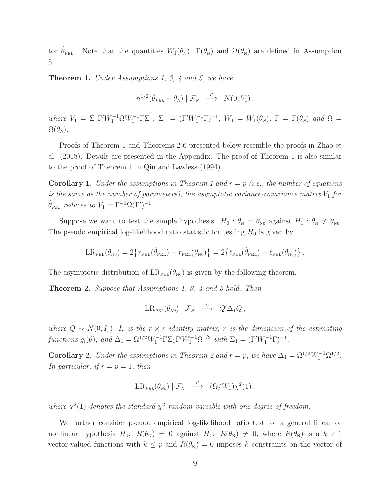tor  $\hat{\theta}_{PEL}$ . Note that the quantities  $W_1(\theta_N)$ ,  $\Gamma(\theta_N)$  and  $\Omega(\theta_N)$  are defined in Assumption 5.

Theorem 1. Under Assumptions 1, 3, 4 and 5, we have

$$
n^{1/2}(\hat{\theta}_{PEL} - \theta_N) | \mathcal{F}_N \stackrel{\mathcal{L}}{\longrightarrow} N(0, V_1),
$$

where  $V_1 = \Sigma_1 \Gamma' W_1^{-1} \Omega W_1^{-1} \Gamma \Sigma_1$ ,  $\Sigma_1 = (\Gamma' W_1^{-1} \Gamma)^{-1}$ ,  $W_1 = W_1(\theta_N)$ ,  $\Gamma = \Gamma(\theta_N)$  and  $\Omega =$  $\Omega(\theta_N)$ .

Proofs of Theorem 1 and Theorems 2-6 presented below resemble the proofs in Zhao et al. (2018). Details are presented in the Appendix. The proof of Theorem 1 is also similar to the proof of Theorem 1 in Qin and Lawless (1994).

**Corollary 1.** Under the assumptions in Theorem 1 and  $r = p$  (i.e., the number of equations is the same as the number of parameters), the asymptotic variance-covariance matrix  $V_1$  for  $\hat{\theta}_{PEL}$  reduces to  $V_1 = \Gamma^{-1} \Omega(\Gamma')^{-1}$ .

Suppose we want to test the simple hypothesis:  $H_0: \theta_{N} = \theta_{N0}$  against  $H_1: \theta_{N} \neq \theta_{N0}$ . The pseudo empirical log-likelihood ratio statistic for testing  $H_0$  is given by

$$
LR_{\text{PEL}}(\theta_{\text{N0}}) = 2\big\{r_{\text{PEL}}(\hat{\theta}_{\text{PEL}}) - r_{\text{PEL}}(\theta_{\text{N0}})\big\} = 2\big\{\ell_{\text{PEL}}(\hat{\theta}_{\text{PEL}}) - \ell_{\text{PEL}}(\theta_{\text{N0}})\big\}\,.
$$

The asymptotic distribution of  $LR_{PEL}(\theta_{N0})$  is given by the following theorem.

Theorem 2. Suppose that Assumptions 1, 3, 4 and 5 hold. Then

$$
\operatorname{LR}_{\scriptscriptstyle{PEL}}(\theta_{\scriptscriptstyle{N0}}) \mid \mathcal{F}_{\scriptscriptstyle{N}} \quad \stackrel{\mathcal{L}}{\longrightarrow} \quad Q' \Delta_1 Q \, ,
$$

where  $Q \sim N(0, I_r)$ ,  $I_r$  is the  $r \times r$  identity matrix, r is the dimension of the estimating functions  $g_i(\theta)$ , and  $\Delta_1 = \Omega^{1/2} W_1^{-1} \Gamma \Sigma_1 \Gamma' W_1^{-1} \Omega^{1/2}$  with  $\Sigma_1 = (\Gamma' W_1^{-1} \Gamma)^{-1}$ .

**Corollary 2.** Under the assumptions in Theorem 2 and  $r = p$ , we have  $\Delta_1 = \Omega^{1/2} W_1^{-1} \Omega^{1/2}$ . In particular, if  $r = p = 1$ , then

$$
\operatorname{LR}_{\scriptscriptstyle{PEL}}(\theta_{\scriptscriptstyle{N0}}) \mid \mathcal{F}_{\scriptscriptstyle{N}} \quad \stackrel{\mathcal{L}}{\longrightarrow} \quad (\Omega/W_1) \chi^2(1) \,,
$$

where  $\chi^2(1)$  denotes the standard  $\chi^2$  random variable with one degree of freedom.

We further consider pseudo empirical log-likelihood ratio test for a general linear or nonlinear hypothesis  $H_0$ :  $R(\theta_N) = 0$  against  $H_1$ :  $R(\theta_N) \neq 0$ , where  $R(\theta_N)$  is a  $k \times 1$ vector-valued functions with  $k \leq p$  and  $R(\theta_N) = 0$  imposes k constraints on the vector of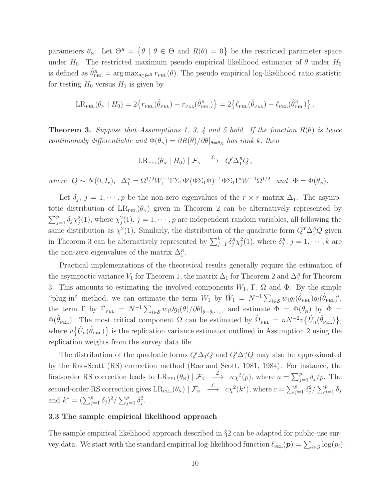parameters  $\theta_{N}$ . Let  $\Theta^{R} = \{ \theta \mid \theta \in \Theta \text{ and } R(\theta) = 0 \}$  be the restricted parameter space under  $H_0$ . The restricted maximum pseudo empirical likelihood estimator of  $\theta$  under  $H_0$ is defined as  $\hat{\theta}_{PEL}^R = \arg \max_{\theta \in \Theta^R} r_{PEL}(\theta)$ . The pseudo empirical log-likelihood ratio statistic for testing  $H_0$  versus  $H_1$  is given by

$$
LR_{\text{PEL}}(\theta_{\text{N}} \mid H_0) = 2\{r_{\text{PEL}}(\hat{\theta}_{\text{PEL}}) - r_{\text{PEL}}(\hat{\theta}_{\text{PEL}}^{R})\} = 2\{\ell_{\text{PEL}}(\hat{\theta}_{\text{PEL}}) - \ell_{\text{PEL}}(\hat{\theta}_{\text{PEL}}^{R})\}.
$$

**Theorem 3.** Suppose that Assumptions 1, 3, 4 and 5 hold. If the function  $R(\theta)$  is twice continuously differentiable and  $\Phi(\theta_N) = \partial R(\theta)/\partial \theta|_{\theta=\theta_N}$  has rank k, then

$$
LR_{\scriptscriptstyle{PEL}}(\theta_{\scriptscriptstyle{N}} \mid H_0) \mid \mathcal{F}_{\scriptscriptstyle{N}} \ \stackrel{\mathcal{L}}{\longrightarrow} \ Q' \Delta_1^R Q \,,
$$

where  $Q \sim N(0, I_r)$ ,  $\Delta_1^R = \Omega^{1/2} W_1^{-1} \Gamma \Sigma_1 \Phi'(\Phi \Sigma_1 \Phi)^{-1} \Phi \Sigma_1 \Gamma' W_1^{-1} \Omega^{1/2}$  and  $\Phi = \Phi(\theta_N)$ .

Let  $\delta_j$ ,  $j = 1, \dots, p$  be the non-zero eigenvalues of the  $r \times r$  matrix  $\Delta_1$ . The asymptotic distribution of  $LR_{PEL}(\theta_{N})$  given in Theorem 2 can be alternatively represented by  $\sum_{j=1}^p \delta_j \chi_j^2(1)$ , where  $\chi_j^2(1)$ ,  $j = 1, \dots, p$  are independent random variables, all following the same distribution as  $\chi^2(1)$ . Similarly, the distribution of the quadratic form  $Q^T\Delta_1^RQ$  given in Theorem 3 can be alternatively represented by  $\sum_{j=1}^{k} \delta_j^R \chi_j^2(1)$ , where  $\delta_j^R$ ,  $j = 1, \dots, k$  are the non-zero eigenvalues of the matrix  $\Delta_1^R$ .

Practical implementations of the theoretical results generally require the estimation of the asymptotic variance  $V_1$  for Theorem 1, the matrix  $\Delta_1$  for Theorem 2 and  $\Delta_1^R$  for Theorem 3. This amounts to estimating the involved components  $W_1$ ,  $\Gamma$ ,  $\Omega$  and  $\Phi$ . By the simple "plug-in" method, we can estimate the term  $W_1$  by  $\hat{W}_1 = N^{-1} \sum_{i \in \mathcal{S}} w_i g_i(\hat{\theta}_{\text{PEL}}) g_i(\hat{\theta}_{\text{PEL}})'$ , the term  $\Gamma$  by  $\hat{\Gamma}_{\text{PEL}} = N^{-1} \sum_{i \in \mathcal{S}} w_i \partial g_i(\theta) / \partial \theta |_{\theta = \hat{\theta}_{\text{PEL}}}$ , and estimate  $\Phi = \Phi(\theta_{\text{N}})$  by  $\hat{\Phi} =$  $\Phi(\hat{\theta}_{\text{PEL}})$ . The most critical component  $\Omega$  can be estimated by  $\hat{\Omega}_{\text{PEL}} = nN^{-2}v\{\hat{U}_n(\hat{\theta}_{\text{PEL}})\}\$ where  $v\{\hat{U}_n(\hat{\theta}_{PEL})\}\$  is the replication variance estimator outlined in Assumption 2 using the replication weights from the survey data file.

The distribution of the quadratic forms  $Q' \Delta_1 Q$  and  $Q' \Delta_1^R Q$  may also be approximated by the Rao-Scott (RS) correction method (Rao and Scott, 1981, 1984). For instance, the first-order RS correction leads to  $LR_{PEL}(\theta_N) | \mathcal{F}_N \stackrel{\mathcal{L}}{\longrightarrow} a\chi^2(p)$ , where  $a = \sum_{j=1}^p \delta_j/p$ . The second-order RS correction gives  $LR_{\text{PEL}}(\theta_N) | \mathcal{F}_N \stackrel{\mathcal{L}}{\longrightarrow} c\chi^2(k^*)$ , where  $c = \sum_{j=1}^p \delta_j^2 / \sum_{j=1}^p \delta_j$ and  $k^* = (\sum_{j=1}^p \delta_j)^2 / \sum_{j=1}^p \delta_j^2$ .

## 3.3 The sample empirical likelihood approach

The sample empirical likelihood approach described in §2 can be adapted for public-use survey data. We start with the standard empirical log-likelihood function  $\ell_{\text{SEL}}(\bm{p}) = \sum_{i \in \mathcal{S}} \log(p_i)$ .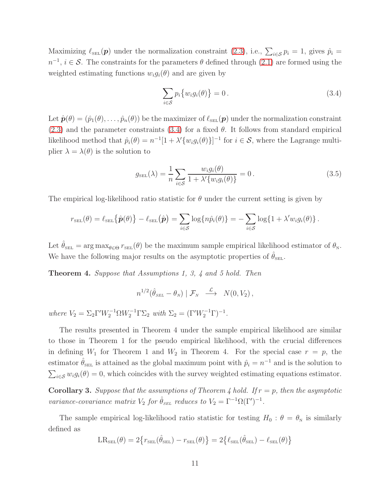Maximizing  $\ell_{\text{SEL}}(\mathbf{p})$  under the normalization constraint [\(2.3\)](#page-3-0), i.e.,  $\sum_{i \in \mathcal{S}} p_i = 1$ , gives  $\hat{p}_i =$  $n^{-1}$ ,  $i \in \mathcal{S}$ . The constraints for the parameters  $\theta$  defined through [\(2.1\)](#page-3-1) are formed using the weighted estimating functions  $w_i q_i(\theta)$  and are given by

<span id="page-10-0"></span>
$$
\sum_{i \in S} p_i \{ w_i g_i(\theta) \} = 0. \tag{3.4}
$$

Let  $\hat{\boldsymbol{p}}(\theta) = (\hat{p}_1(\theta), \dots, \hat{p}_n(\theta))$  be the maximizer of  $\ell_{\text{SEL}}(\boldsymbol{p})$  under the normalization constraint  $(2.3)$  and the parameter constraints  $(3.4)$  for a fixed  $\theta$ . It follows from standard empirical likelihood method that  $\hat{p}_i(\theta) = n^{-1}[1 + \lambda' \{w_i g_i(\theta)\}]^{-1}$  for  $i \in \mathcal{S}$ , where the Lagrange multiplier  $\lambda = \lambda(\theta)$  is the solution to

<span id="page-10-1"></span>
$$
g_{\text{SEL}}(\lambda) = \frac{1}{n} \sum_{i \in \mathcal{S}} \frac{w_i g_i(\theta)}{1 + \lambda' \{w_i g_i(\theta)\}} = 0.
$$
 (3.5)

The empirical log-likelihood ratio statistic for  $\theta$  under the current setting is given by

$$
r_{\text{SEL}}(\theta) = \ell_{\text{SEL}}\{\hat{\boldsymbol{p}}(\theta)\} - \ell_{\text{SEL}}(\hat{\boldsymbol{p}}) = \sum_{i \in \mathcal{S}} \log\{n\hat{p}_i(\theta)\} = -\sum_{i \in \mathcal{S}} \log\{1 + \lambda' w_i g_i(\theta)\}.
$$

Let  $\hat{\theta}_{\text{SEL}} = \arg \max_{\theta \in \Theta} r_{\text{SEL}}(\theta)$  be the maximum sample empirical likelihood estimator of  $\theta_N$ . We have the following major results on the asymptotic properties of  $\theta_{\text{SEL}}$ .

Theorem 4. Suppose that Assumptions 1, 3, 4 and 5 hold. Then

$$
n^{1/2}(\hat{\theta}_{\text{SEL}} - \theta_N) | \mathcal{F}_N \longrightarrow N(0, V_2),
$$

where  $V_2 = \Sigma_2 \Gamma' W_2^{-1} \Omega W_2^{-1} \Gamma \Sigma_2$  with  $\Sigma_2 = (\Gamma' W_2^{-1} \Gamma)^{-1}$ .

The results presented in Theorem 4 under the sample empirical likelihood are similar to those in Theorem 1 for the pseudo empirical likelihood, with the crucial differences in defining  $W_1$  for Theorem 1 and  $W_2$  in Theorem 4. For the special case  $r = p$ , the estimator  $\hat{\theta}_{\text{SEL}}$  is attained as the global maximum point with  $\hat{p}_i = n^{-1}$  and is the solution to  $\sum_{i \in \mathcal{S}} w_i g_i(\theta) = 0$ , which coincides with the survey weighted estimating equations estimator.

**Corollary 3.** Suppose that the assumptions of Theorem 4 hold. If  $r = p$ , then the asymptotic variance-covariance matrix  $V_2$  for  $\hat{\theta}_{\text{SEL}}$  reduces to  $V_2 = \Gamma^{-1} \Omega(\Gamma')^{-1}$ .

The sample empirical log-likelihood ratio statistic for testing  $H_0$  :  $\theta = \theta_N$  is similarly defined as

$$
\text{LR}_{\text{sel}}(\theta) = 2\big\{r_{\text{sel}}(\hat{\theta}_{\text{sel}}) - r_{\text{sel}}(\theta)\big\} = 2\big\{\ell_{\text{sel}}(\hat{\theta}_{\text{sel}}) - \ell_{\text{sel}}(\theta)\big\}
$$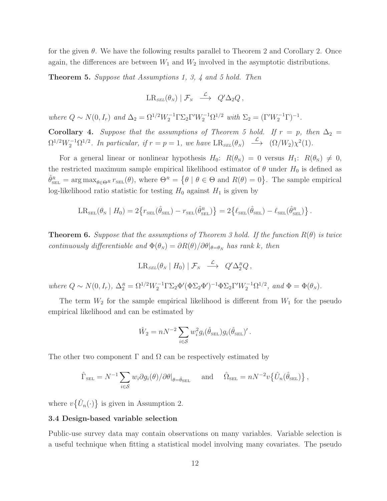for the given  $\theta$ . We have the following results parallel to Theorem 2 and Corollary 2. Once again, the differences are between  $W_1$  and  $W_2$  involved in the asymptotic distributions.

**Theorem 5.** Suppose that Assumptions 1, 3, 4 and 5 hold. Then

$$
LR_{\scriptscriptstyle SEL}(\theta_{\scriptscriptstyle N})\mid \mathcal{F}_{\scriptscriptstyle N} \ \stackrel{\mathcal{L}}{\longrightarrow} \ Q'\Delta_2Q\,,
$$

where  $Q \sim N(0, I_r)$  and  $\Delta_2 = \Omega^{1/2} W_2^{-1} \Gamma \Sigma_2 \Gamma' W_2^{-1} \Omega^{1/2}$  with  $\Sigma_2 = (\Gamma' W_2^{-1} \Gamma)^{-1}$ .

Corollary 4. Suppose that the assumptions of Theorem 5 hold. If  $r = p$ , then  $\Delta_2 =$  $\Omega^{1/2}W_2^{-1}\Omega^{1/2}$ . In particular, if  $r = p = 1$ , we have  $LR_{\scriptscriptstyle SEL}(\theta_N) \xrightarrow{\mathcal{L}} (\Omega/W_2)\chi^2(1)$ .

For a general linear or nonlinear hypothesis  $H_0$ :  $R(\theta_N) = 0$  versus  $H_1$ :  $R(\theta_N) \neq 0$ , the restricted maximum sample empirical likelihood estimator of  $\theta$  under  $H_0$  is defined as  $\hat{\theta}_{\text{SEL}}^R = \arg \max_{\theta \in \Theta^R} r_{\text{SEL}}(\theta)$ , where  $\Theta^R = \{ \theta \mid \theta \in \Theta \text{ and } R(\theta) = 0 \}$ . The sample empirical log-likelihood ratio statistic for testing  $H_0$  against  $H_1$  is given by

$$
LR_{\text{SEL}}(\theta_{\text{N}} \mid H_0) = 2\{r_{\text{SEL}}(\hat{\theta}_{\text{SEL}}) - r_{\text{SEL}}(\hat{\theta}_{\text{SEL}}^R)\} = 2\{\ell_{\text{SEL}}(\hat{\theta}_{\text{SEL}}) - \ell_{\text{SEL}}(\hat{\theta}_{\text{SEL}}^R)\}.
$$

**Theorem 6.** Suppose that the assumptions of Theorem 3 hold. If the function  $R(\theta)$  is twice continuously differentiable and  $\Phi(\theta_N) = \partial R(\theta)/\partial \theta|_{\theta=\theta_N}$  has rank k, then

$$
LR_{\text{SEL}}(\theta_N \mid H_0) \mid \mathcal{F}_N \quad \xrightarrow{\mathcal{L}} \quad Q' \Delta_2^R Q \,,
$$

where  $Q \sim N(0, I_r)$ ,  $\Delta_2^R = \Omega^{1/2} W_2^{-1} \Gamma \Sigma_2 \Phi' (\Phi \Sigma_2 \Phi')^{-1} \Phi \Sigma_2 \Gamma' W_2^{-1} \Omega^{1/2}$ , and  $\Phi = \Phi(\theta_N)$ .

The term  $W_2$  for the sample empirical likelihood is different from  $W_1$  for the pseudo empirical likelihood and can be estimated by

$$
\hat{W}_2 = nN^{-2} \sum_{i \in \mathcal{S}} w_i^2 g_i(\hat{\theta}_{\text{SEL}}) g_i(\hat{\theta}_{\text{SEL}})'.
$$

The other two component  $\Gamma$  and  $\Omega$  can be respectively estimated by

$$
\hat{\Gamma}_{\text{SEL}} = N^{-1} \sum_{i \in \mathcal{S}} w_i \partial g_i(\theta) / \partial \theta |_{\theta = \hat{\theta}_{\text{SEL}}} \quad \text{and} \quad \hat{\Omega}_{\text{SEL}} = n N^{-2} v \{ \hat{U}_n(\hat{\theta}_{\text{SEL}}) \},
$$

where  $v\{\hat{U}_n(\cdot)\}\$ is given in Assumption 2.

## 3.4 Design-based variable selection

Public-use survey data may contain observations on many variables. Variable selection is a useful technique when fitting a statistical model involving many covariates. The pseudo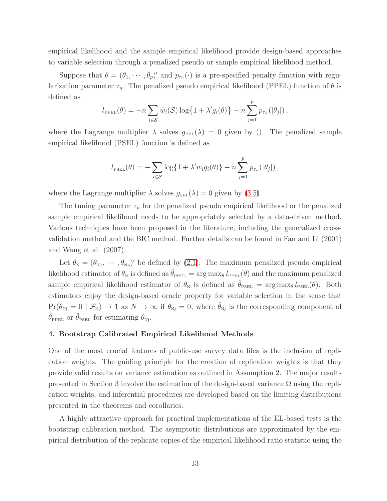empirical likelihood and the sample empirical likelihood provide design-based approaches to variable selection through a penalized pseudo or sample empirical likelihood method.

Suppose that  $\theta = (\theta_1, \dots, \theta_p)'$  and  $p_{\tau_n}(\cdot)$  is a pre-specified penalty function with regularization parameter  $\tau_n$ . The penalized pseudo empirical likelihood (PPEL) function of  $\theta$  is defined as

$$
l_{\text{PPEL}}(\theta) = -n \sum_{i \in S} \tilde{w}_i(\mathcal{S}) \log\{1 + \lambda' g_i(\theta)\} - n \sum_{j=1}^p p_{\tau_n}(|\theta_j|),
$$

where the Lagrange multiplier  $\lambda$  solves  $g_{PEL}(\lambda) = 0$  given by (). The penalized sample empirical likelihood (PSEL) function is defined as

$$
l_{\text{PSEL}}(\theta) = -\sum_{i \in \mathcal{S}} \log\{1 + \lambda' w_i g_i(\theta)\} - n \sum_{j=1}^p p_{\tau_n}(|\theta_j|),
$$

where the Lagrange multiplier  $\lambda$  solves  $g_{\text{SEL}}(\lambda) = 0$  given by [\(3.5\)](#page-10-1).

The tuning parameter  $\tau_n$  for the penalized pseudo empirical likelihood or the penalized sample empirical likelihood needs to be appropriately selected by a data-driven method. Various techniques have been proposed in the literature, including the generalized crossvalidation method and the BIC method. Further details can be found in Fan and Li (2001) and Wang et al. (2007).

Let  $\theta_{N} = (\theta_{N1}, \dots, \theta_{Np})'$  be defined by [\(2.1\)](#page-3-1). The maximum penalized pseudo empirical likelihood estimator of  $\theta_N$  is defined as  $\hat{\theta}_{\text{PPEL}} = \arg \max_{\theta} l_{\text{PPEL}}(\theta)$  and the maximum penalized sample empirical likelihood estimator of  $\theta_N$  is defined as  $\hat{\theta}_{PSEL} = \arg \max_{\theta} l_{PSEL}(\theta)$ . Both estimators enjoy the design-based oracle property for variable selection in the sense that  $Pr(\hat{\theta}_{Nj} = 0 \mid \mathcal{F}_N) \rightarrow 1$  as  $N \rightarrow \infty$  if  $\theta_{Nj} = 0$ , where  $\hat{\theta}_{Nj}$  is the corresponding component of  $\hat{\theta}_{\text{PPEL}}$  or  $\hat{\theta}_{\text{PSEL}}$  for estimating  $\theta_{\text{Nj}}$ .

# 4. Bootstrap Calibrated Empirical Likelihood Methods

One of the most crucial features of public-use survey data files is the inclusion of replication weights. The guiding principle for the creation of replication weights is that they provide valid results on variance estimation as outlined in Assumption 2. The major results presented in Section 3 involve the estimation of the design-based variance  $\Omega$  using the replication weights, and inferential procedures are developed based on the limiting distributions presented in the theorems and corollaries.

A highly attractive approach for practical implementations of the EL-based tests is the bootstrap calibration method. The asymptotic distributions are approximated by the empirical distribution of the replicate copies of the empirical likelihood ratio statistic using the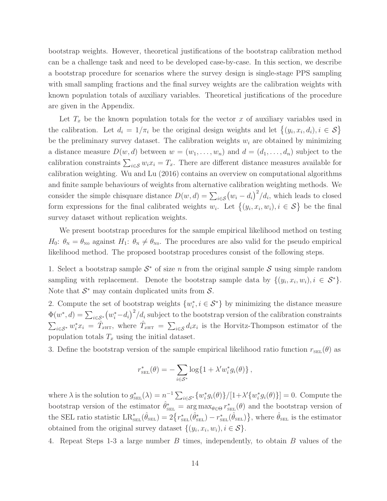bootstrap weights. However, theoretical justifications of the bootstrap calibration method can be a challenge task and need to be developed case-by-case. In this section, we describe a bootstrap procedure for scenarios where the survey design is single-stage PPS sampling with small sampling fractions and the final survey weights are the calibration weights with known population totals of auxiliary variables. Theoretical justifications of the procedure are given in the Appendix.

Let  $T_x$  be the known population totals for the vector x of auxiliary variables used in the calibration. Let  $d_i = 1/\pi_i$  be the original design weights and let  $\{(y_i, x_i, d_i), i \in S\}$ be the preliminary survey dataset. The calibration weights  $w_i$  are obtained by minimizing a distance measure  $D(w, d)$  between  $w = (w_1, \ldots, w_n)$  and  $d = (d_1, \ldots, d_n)$  subject to the calibration constraints  $\sum_{i \in \mathcal{S}} w_i x_i = T_x$ . There are different distance measures available for calibration weighting. Wu and Lu (2016) contains an overview on computational algorithms and finite sample behaviours of weights from alternative calibration weighting methods. We consider the simple chisquare distance  $D(w, d) = \sum_{i \in S} (w_i - d_i)^2 / d_i$ , which leads to closed form expressions for the final calibrated weights  $w_i$ . Let  $\{(y_i, x_i, w_i), i \in S\}$  be the final survey dataset without replication weights.

We present bootstrap procedures for the sample empirical likelihood method on testing  $H_0: \theta_{\rm N}=\theta_{\rm N0}$  against  $H_1: \theta_{\rm N}\neq \theta_{\rm N0}$ . The procedures are also valid for the pseudo empirical likelihood method. The proposed bootstrap procedures consist of the following steps.

1. Select a bootstrap sample  $S^*$  of size n from the original sample S using simple random sampling with replacement. Denote the bootstrap sample data by  $\{(y_i, x_i, w_i), i \in S^*\}.$ Note that  $S^*$  may contain duplicated units from  $S$ .

2. Compute the set of bootstrap weights  $\{w_i^*\}$  $i, i \in S^*$ } by minimizing the distance measure  $\Phi(w^*, d) = \sum_{i \in \mathcal{S}^*} (w_i^* - d_i)^2 / d_i$  subject to the bootstrap version of the calibration constraints  $\sum_{i\in\mathcal{S}^*} w_i^* x_i = \hat{T}_{x\text{HT}}$ , where  $\hat{T}_{x\text{HT}} = \sum_{i\in\mathcal{S}} d_i x_i$  is the Horvitz-Thompson estimator of the population totals  $T_x$  using the initial dataset.

3. Define the bootstrap version of the sample empirical likelihood ratio function  $r_{\text{SEL}}(\theta)$  as

$$
r_{\text{SEL}}^*(\theta) = -\sum_{i \in \mathcal{S}^*} \log\{1 + \lambda' w_i^* g_i(\theta)\},
$$

where  $\lambda$  is the solution to  $g_{\text{SEL}}^*(\lambda) = n^{-1} \sum_{i \in \mathcal{S}^*} \{w_i^*\}$  $ig_i(\theta)\}/[1+\lambda'\{w_i^*$  $ig_i(\theta)\}] = 0.$  Compute the bootstrap version of the estimator  $\hat{\theta}_{\text{SEL}}^* = \arg \max_{\theta \in \Theta} r_{\text{SEL}}^*(\theta)$  and the bootstrap version of the SEL ratio statistic  $LR_{\text{SEL}}^*(\hat{\theta}_{\text{SEL}}) = 2\{r_{\text{SEL}}^*(\hat{\theta}_{\text{SEL}}) - r_{\text{SEL}}^*(\hat{\theta}_{\text{SEL}})\}\$ , where  $\hat{\theta}_{\text{SEL}}$  is the estimator obtained from the original survey dataset  $\{(y_i, x_i, w_i), i \in S\}$ .

4. Repeat Steps 1-3 a large number B times, independently, to obtain B values of the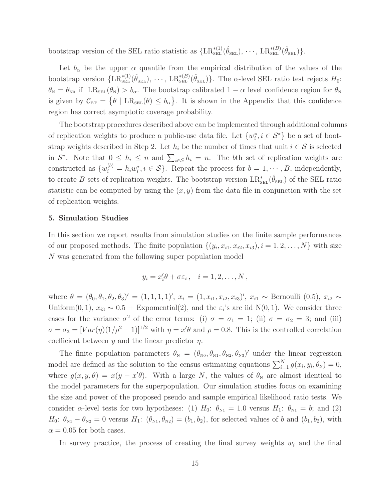bootstrap version of the SEL ratio statistic as  $\{LR_{\text{SEL}}^{*(1)}(\hat{\theta}_{\text{SEL}}), \cdots, LR_{\text{SEL}}^{*(B)}(\hat{\theta}_{\text{SEL}})\}.$ 

Let  $b_{\alpha}$  be the upper  $\alpha$  quantile from the empirical distribution of the values of the bootstrap version  $\{LR^{*(1)}_{\text{SEL}}(\hat{\theta}_{\text{SEL}}), \cdots, LR^{*(B)}_{\text{SEL}}(\hat{\theta}_{\text{SEL}})\}\$ . The  $\alpha$ -level SEL ratio test rejects  $H_0$ :  $\theta_{\rm N} = \theta_{\rm N0}$  if  $LR_{\rm SEL}(\theta_{\rm N}) > b_{\alpha}$ . The bootstrap calibrated  $1 - \alpha$  level confidence region for  $\theta_{\rm N}$ is given by  $C_{BT} = \{ \theta \mid LR_{SEL}(\theta) \le b_\alpha \}.$  It is shown in the Appendix that this confidence region has correct asymptotic coverage probability.

The bootstrap procedures described above can be implemented through additional columns % of replication weights to produce a public-use data file. Let  $\{w_i^*\}$  $i, i \in S^*$ } be a set of bootstrap weights described in Step 2. Let  $h_i$  be the number of times that unit  $i \in \mathcal{S}$  is selected in  $S^*$ . Note that  $0 \leq h_i \leq n$  and  $\sum_{i \in S} h_i = n$ . The bth set of replication weights are constructed as  $\{w_i^{(b)} = h_i w_i^*$  $i, i \in S$ . Repeat the process for  $b = 1, \dots, B$ , independently, to create B sets of replication weights. The bootstrap version  $LR_{\text{SEL}}^*(\hat{\theta}_{\text{SEL}})$  of the SEL ratio statistic can be computed by using the  $(x, y)$  from the data file in conjunction with the set of replication weights.

### 5. Simulation Studies

In this section we report results from simulation studies on the finite sample performances of our proposed methods. The finite population  $\{(y_i, x_{i1}, x_{i2}, x_{i3}), i = 1, 2, ..., N\}$  with size N was generated from the following super population model

$$
y_i = x_i' \theta + \sigma \varepsilon_i \,, \quad i = 1, 2, \dots, N \,,
$$

where  $\theta = (\theta_0, \theta_1, \theta_2, \theta_3)' = (1, 1, 1, 1)', x_i = (1, x_{i1}, x_{i2}, x_{i3})', x_{i1} \sim \text{Bernoulli } (0.5), x_{i2} \sim$ Uniform(0, 1),  $x_{i3} \sim 0.5 +$  Expomential(2), and the  $\varepsilon_i$ 's are iid N(0, 1). We consider three cases for the variance  $\sigma^2$  of the error terms: (i)  $\sigma = \sigma_1 = 1$ ; (ii)  $\sigma = \sigma_2 = 3$ ; and (iii)  $\sigma = \sigma_3 = [Var(\eta)(1/\rho^2 - 1)]^{1/2}$  with  $\eta = x'\theta$  and  $\rho = 0.8$ . This is the controlled correlation coefficient between  $y$  and the linear predictor  $\eta$ .

The finite population parameters  $\theta_{N} = (\theta_{N0}, \theta_{N1}, \theta_{N2}, \theta_{N3})'$  under the linear regression model are defined as the solution to the census estimating equations  $\sum_{i=1}^{N} g(x_i, y_i, \theta_N) = 0$ , where  $g(x, y, \theta) = x(y - x'\theta)$ . With a large N, the values of  $\theta_N$  are almost identical to the model parameters for the superpopulation. Our simulation studies focus on examining the size and power of the proposed pseudo and sample empirical likelihood ratio tests. We consider  $\alpha$ -level tests for two hypotheses: (1)  $H_0$ :  $\theta_{N1} = 1.0$  versus  $H_1$ :  $\theta_{N1} = b$ ; and (2)  $H_0: \theta_{N1} - \theta_{N2} = 0$  versus  $H_1: (\theta_{N1}, \theta_{N2}) = (b_1, b_2)$ , for selected values of b and  $(b_1, b_2)$ , with  $\alpha = 0.05$  for both cases.

In survey practice, the process of creating the final survey weights  $w_i$  and the final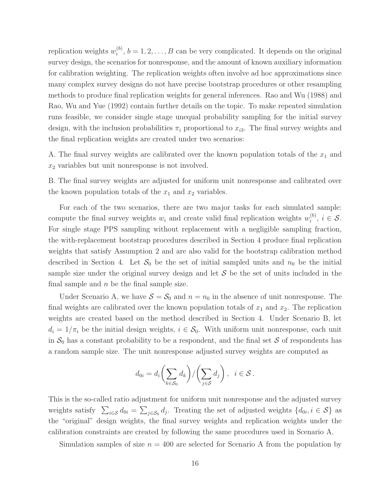replication weights  $w_i^{(b)}$  $i^{(0)}$ ,  $b = 1, 2, \ldots, B$  can be very complicated. It depends on the original survey design, the scenarios for nonresponse, and the amount of known auxiliary information for calibration weighting. The replication weights often involve ad hoc approximations since many complex survey designs do not have precise bootstrap procedures or other resampling methods to produce final replication weights for general inferences. Rao and Wu (1988) and Rao, Wu and Yue (1992) contain further details on the topic. To make repeated simulation runs feasible, we consider single stage unequal probability sampling for the initial survey design, with the inclusion probabilities  $\pi_i$  proportional to  $x_{i3}$ . The final survey weights and the final replication weights are created under two scenarios:

A. The final survey weights are calibrated over the known population totals of the  $x_1$  and  $x_2$  variables but unit nonresponse is not involved.

B. The final survey weights are adjusted for uniform unit nonresponse and calibrated over the known population totals of the  $x_1$  and  $x_2$  variables.

For each of the two scenarios, there are two major tasks for each simulated sample: compute the final survey weights  $w_i$  and create valid final replication weights  $w_i^{(b)}$  $i^{(0)}$ ,  $i \in \mathcal{S}$ . For single stage PPS sampling without replacement with a negligible sampling fraction, the with-replacement bootstrap procedures described in Section 4 produce final replication weights that satisfy Assumption 2 and are also valid for the bootstrap calibration method described in Section 4. Let  $S_0$  be the set of initial sampled units and  $n_0$  be the initial sample size under the original survey design and let  $S$  be the set of units included in the final sample and  $n$  be the final sample size.

Under Scenario A, we have  $S = S_0$  and  $n = n_0$  in the absence of unit nonresponse. The final weights are calibrated over the known population totals of  $x_1$  and  $x_2$ . The replication weights are created based on the method described in Section 4. Under Scenario B, let  $d_i = 1/\pi_i$  be the initial design weights,  $i \in \mathcal{S}_0$ . With uniform unit nonresponse, each unit in  $S_0$  has a constant probability to be a respondent, and the final set S of respondents has a random sample size. The unit nonresponse adjusted survey weights are computed as

$$
d_{0i} = d_i \left( \sum_{k \in S_0} d_k \right) / \left( \sum_{j \in S} d_j \right), \ \ i \in S.
$$

This is the so-called ratio adjustment for uniform unit nonresponse and the adjusted survey weights satisfy  $\sum_{i \in \mathcal{S}} d_{0i} = \sum_{j \in \mathcal{S}_0} d_j$ . Treating the set of adjusted weights  $\{d_{0i}, i \in \mathcal{S}\}\$ as the "original" design weights, the final survey weights and replication weights under the calibration constraints are created by following the same procedures used in Scenario A.

Simulation samples of size  $n = 400$  are selected for Scenario A from the population by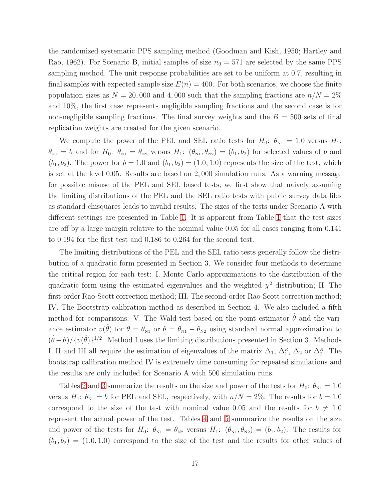the randomized systematic PPS sampling method (Goodman and Kish, 1950; Hartley and Rao, 1962). For Scenario B, initial samples of size  $n_0 = 571$  are selected by the same PPS sampling method. The unit response probabilities are set to be uniform at 0.7, resulting in final samples with expected sample size  $E(n) = 400$ . For both scenarios, we choose the finite population sizes as  $N = 20,000$  and 4,000 such that the sampling fractions are  $n/N = 2\%$ and 10%, the first case represents negligible sampling fractions and the second case is for non-negligible sampling fractions. The final survey weights and the  $B = 500$  sets of final replication weights are created for the given scenario.

We compute the power of the PEL and SEL ratio tests for  $H_0$ :  $\theta_{N1} = 1.0$  versus  $H_1$ :  $\theta_{N1} = b$  and for  $H_0$ :  $\theta_{N1} = \theta_{N2}$  versus  $H_1$ :  $(\theta_{N1}, \theta_{N2}) = (b_1, b_2)$  for selected values of b and  $(b_1, b_2)$ . The power for  $b = 1.0$  and  $(b_1, b_2) = (1.0, 1.0)$  represents the size of the test, which is set at the level 0.05. Results are based on 2, 000 simulation runs. As a warning message for possible misuse of the PEL and SEL based tests, we first show that naively assuming the limiting distributions of the PEL and the SEL ratio tests with public survey data files as standard chisquares leads to invalid results. The sizes of the tests under Scenario A with different settings are presented in Table [1.](#page-39-0) It is apparent from Table [1](#page-39-0) that the test sizes are off by a large margin relative to the nominal value 0.05 for all cases ranging from 0.141 to 0.194 for the first test and 0.186 to 0.264 for the second test.

The limiting distributions of the PEL and the SEL ratio tests generally follow the distribution of a quadratic form presented in Section 3. We consider four methods to determine the critical region for each test: I. Monte Carlo approximations to the distribution of the quadratic form using the estimated eigenvalues and the weighted  $\chi^2$  distribution; II. The first-order Rao-Scott correction method; III. The second-order Rao-Scott correction method; IV. The Bootstrap calibration method as described in Section 4. We also included a fifth method for comparisons: V. The Wald-test based on the point estimator  $\theta$  and the variance estimator  $v(\hat{\theta})$  for  $\theta = \theta_{N1}$  or  $\theta = \theta_{N1} - \theta_{N2}$  using standard normal approximation to  $(\hat{\theta} - \theta) / \{v(\hat{\theta})\}^{1/2}$ . Method I uses the limiting distributions presented in Section 3. Methods I, II and III all require the estimation of eigenvalues of the matrix  $\Delta_1$ ,  $\Delta_1^R$ ,  $\Delta_2$  or  $\Delta_2^R$ . The bootstrap calibration method IV is extremely time consuming for repeated simulations and the results are only included for Scenario A with 500 simulation runs.

Tables [2](#page-40-0) and [3](#page-41-0) summarize the results on the size and power of the tests for  $H_0$ :  $\theta_{N1} = 1.0$ versus  $H_1$ :  $\theta_{N1} = b$  for PEL and SEL, respectively, with  $n/N = 2\%$ . The results for  $b = 1.0$ correspond to the size of the test with nominal value 0.05 and the results for  $b \neq 1.0$ represent the actual power of the test. Tables [4](#page-42-0) and [5](#page-43-0) summarize the results on the size and power of the tests for  $H_0$ :  $\theta_{N1} = \theta_{N2}$  versus  $H_1$ :  $(\theta_{N1}, \theta_{N2}) = (b_1, b_2)$ . The results for  $(b_1, b_2) = (1.0, 1.0)$  correspond to the size of the test and the results for other values of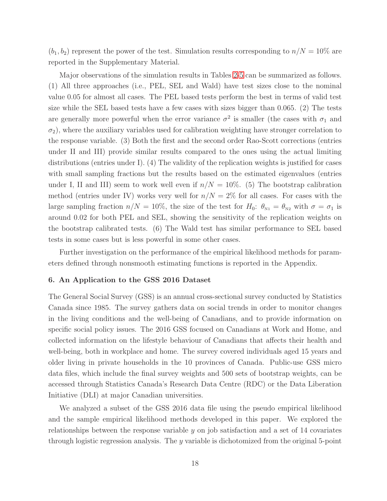$(b_1, b_2)$  represent the power of the test. Simulation results corresponding to  $n/N = 10\%$  are reported in the Supplementary Material.

Major observations of the simulation results in Tables [2](#page-40-0)[-5](#page-43-0) can be summarized as follows. (1) All three approaches (i.e., PEL, SEL and Wald) have test sizes close to the nominal value 0.05 for almost all cases. The PEL based tests perform the best in terms of valid test size while the SEL based tests have a few cases with sizes bigger than 0.065. (2) The tests are generally more powerful when the error variance  $\sigma^2$  is smaller (the cases with  $\sigma_1$  and  $\sigma_2$ ), where the auxiliary variables used for calibration weighting have stronger correlation to the response variable. (3) Both the first and the second order Rao-Scott corrections (entries under II and III) provide similar results compared to the ones using the actual limiting distributions (entries under I). (4) The validity of the replication weights is justified for cases with small sampling fractions but the results based on the estimated eigenvalues (entries under I, II and III) seem to work well even if  $n/N = 10\%$ . (5) The bootstrap calibration method (entries under IV) works very well for  $n/N = 2\%$  for all cases. For cases with the large sampling fraction  $n/N = 10\%$ , the size of the test for  $H_0$ :  $\theta_{N1} = \theta_{N2}$  with  $\sigma = \sigma_1$  is around 0.02 for both PEL and SEL, showing the sensitivity of the replication weights on the bootstrap calibrated tests. (6) The Wald test has similar performance to SEL based tests in some cases but is less powerful in some other cases.

Further investigation on the performance of the empirical likelihood methods for parameters defined through nonsmooth estimating functions is reported in the Appendix.

## 6. An Application to the GSS 2016 Dataset

The General Social Survey (GSS) is an annual cross-sectional survey conducted by Statistics Canada since 1985. The survey gathers data on social trends in order to monitor changes in the living conditions and the well-being of Canadians, and to provide information on specific social policy issues. The 2016 GSS focused on Canadians at Work and Home, and collected information on the lifestyle behaviour of Canadians that affects their health and well-being, both in workplace and home. The survey covered individuals aged 15 years and older living in private households in the 10 provinces of Canada. Public-use GSS micro data files, which include the final survey weights and 500 sets of bootstrap weights, can be accessed through Statistics Canada's Research Data Centre (RDC) or the Data Liberation Initiative (DLI) at major Canadian universities.

We analyzed a subset of the GSS 2016 data file using the pseudo empirical likelihood and the sample empirical likelihood methods developed in this paper. We explored the relationships between the response variable  $y$  on job satisfaction and a set of 14 covariates through logistic regression analysis. The y variable is dichotomized from the original 5-point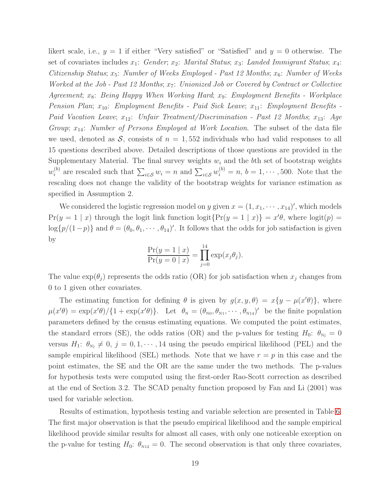likert scale, i.e.,  $y = 1$  if either "Very satisfied" or "Satisfied" and  $y = 0$  otherwise. The set of covariates includes  $x_1$ : Gender;  $x_2$ : Marital Status;  $x_3$ : Landed Immigrant Status;  $x_4$ : Citizenship Status;  $x_5$ : Number of Weeks Employed - Past 12 Months;  $x_6$ : Number of Weeks Worked at the Job - Past 12 Months;  $x_7$ : Unionized Job or Covered by Contract or Collective Agreement;  $x_8$ : Being Happy When Working Hard;  $x_9$ : Employment Benefits - Workplace Pension Plan;  $x_{10}$ : Employment Benefits - Paid Sick Leave;  $x_{11}$ : Employment Benefits -Paid Vacation Leave;  $x_{12}$ : Unfair Treatment/Discrimination - Past 12 Months;  $x_{13}$ : Age Group;  $x_{14}$ : Number of Persons Employed at Work Location. The subset of the data file we used, denoted as S, consists of  $n = 1,552$  individuals who had valid responses to all 15 questions described above. Detailed descriptions of those questions are provided in the Supplementary Material. The final survey weights  $w_i$  and the bth set of bootstrap weights  $w_i^{(b)}$  $i_j^{(b)}$  are rescaled such that  $\sum_{i \in S} w_i = n$  and  $\sum_{i \in S} w_i^{(b)} = n$ ,  $b = 1, \dots, 500$ . Note that the rescaling does not change the validity of the bootstrap weights for variance estimation as specified in Assumption 2.

We considered the logistic regression model on y given  $x = (1, x_1, \dots, x_{14})'$ , which models  $Pr(y = 1 | x)$  through the logit link function logit ${Pr(y = 1 | x)} = x'\theta$ , where logit $(p) =$  $\log\{p/(1-p)\}\$  and  $\theta = (\theta_0, \theta_1, \dots, \theta_{14})'$ . It follows that the odds for job satisfaction is given by

$$
\frac{\Pr(y=1 \mid x)}{\Pr(y=0 \mid x)} = \prod_{j=0}^{14} \exp(x_j \theta_j).
$$

The value  $\exp(\theta_j)$  represents the odds ratio (OR) for job satisfaction when  $x_j$  changes from 0 to 1 given other covariates.

The estimating function for defining  $\theta$  is given by  $g(x, y, \theta) = x\{y - \mu(x' \theta)\}\$ , where  $\mu(x'\theta) = \exp(x'\theta)/\{1 + \exp(x'\theta)\}.$  Let  $\theta_N = (\theta_{N0}, \theta_{N1}, \dots, \theta_{N14})'$  be the finite population parameters defined by the census estimating equations. We computed the point estimates, the standard errors (SE), the odds ratios (OR) and the p-values for testing  $H_0$ :  $\theta_{\text{Nj}} = 0$ versus  $H_1: \theta_{N_j} \neq 0, j = 0, 1, \dots, 14$  using the pseudo empirical likelihood (PEL) and the sample empirical likelihood (SEL) methods. Note that we have  $r = p$  in this case and the point estimates, the SE and the OR are the same under the two methods. The p-values for hypothesis tests were computed using the first-order Rao-Scott correction as described at the end of Section 3.2. The SCAD penalty function proposed by Fan and Li (2001) was used for variable selection.

Results of estimation, hypothesis testing and variable selection are presented in Table [6.](#page-44-0) The first major observation is that the pseudo empirical likelihood and the sample empirical likelihood provide similar results for almost all cases, with only one noticeable exception on the p-value for testing  $H_0$ :  $\theta_{N12} = 0$ . The second observation is that only three covariates,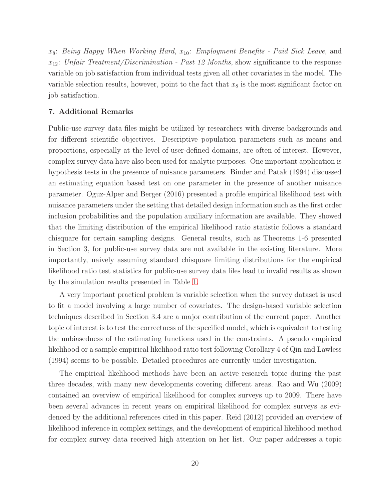$x_8$ : Being Happy When Working Hard,  $x_{10}$ : Employment Benefits - Paid Sick Leave, and  $x_{12}$ : Unfair Treatment/Discrimination - Past 12 Months, show significance to the response variable on job satisfaction from individual tests given all other covariates in the model. The variable selection results, however, point to the fact that  $x_8$  is the most significant factor on job satisfaction.

### 7. Additional Remarks

Public-use survey data files might be utilized by researchers with diverse backgrounds and for different scientific objectives. Descriptive population parameters such as means and proportions, especially at the level of user-defined domains, are often of interest. However, complex survey data have also been used for analytic purposes. One important application is hypothesis tests in the presence of nuisance parameters. Binder and Patak (1994) discussed an estimating equation based test on one parameter in the presence of another nuisance parameter. Oguz-Alper and Berger (2016) presented a profile empirical likelihood test with nuisance parameters under the setting that detailed design information such as the first order inclusion probabilities and the population auxiliary information are available. They showed that the limiting distribution of the empirical likelihood ratio statistic follows a standard chisquare for certain sampling designs. General results, such as Theorems 1-6 presented in Section 3, for public-use survey data are not available in the existing literature. More importantly, naively assuming standard chisquare limiting distributions for the empirical likelihood ratio test statistics for public-use survey data files lead to invalid results as shown by the simulation results presented in Table [1.](#page-39-0)

A very important practical problem is variable selection when the survey dataset is used to fit a model involving a large number of covariates. The design-based variable selection techniques described in Section 3.4 are a major contribution of the current paper. Another topic of interest is to test the correctness of the specified model, which is equivalent to testing the unbiasedness of the estimating functions used in the constraints. A pseudo empirical likelihood or a sample empirical likelihood ratio test following Corollary 4 of Qin and Lawless (1994) seems to be possible. Detailed procedures are currently under investigation.

The empirical likelihood methods have been an active research topic during the past three decades, with many new developments covering different areas. Rao and Wu (2009) contained an overview of empirical likelihood for complex surveys up to 2009. There have been several advances in recent years on empirical likelihood for complex surveys as evidenced by the additional references cited in this paper. Reid (2012) provided an overview of likelihood inference in complex settings, and the development of empirical likelihood method for complex survey data received high attention on her list. Our paper addresses a topic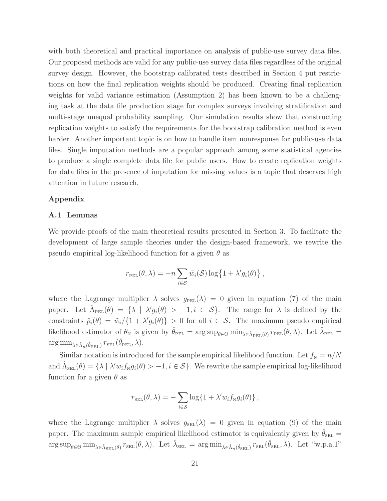with both theoretical and practical importance on analysis of public-use survey data files. Our proposed methods are valid for any public-use survey data files regardless of the original survey design. However, the bootstrap calibrated tests described in Section 4 put restrictions on how the final replication weights should be produced. Creating final replication weights for valid variance estimation (Assumption 2) has been known to be a challenging task at the data file production stage for complex surveys involving stratification and multi-stage unequal probability sampling. Our simulation results show that constructing replication weights to satisfy the requirements for the bootstrap calibration method is even harder. Another important topic is on how to handle item nonresponse for public-use data files. Single imputation methods are a popular approach among some statistical agencies to produce a single complete data file for public users. How to create replication weights for data files in the presence of imputation for missing values is a topic that deserves high attention in future research.

# Appendix

## A.1 Lemmas

We provide proofs of the main theoretical results presented in Section 3. To facilitate the development of large sample theories under the design-based framework, we rewrite the pseudo empirical log-likelihood function for a given  $\theta$  as

$$
r_{\text{PEL}}(\theta, \lambda) = -n \sum_{i \in S} \tilde{w}_i(\mathcal{S}) \log \{1 + \lambda' g_i(\theta)\},
$$

where the Lagrange multiplier  $\lambda$  solves  $g_{PEL}(\lambda) = 0$  given in equation (7) of the main paper. Let  $\hat{\Lambda}_{\text{PEL}}(\theta) = {\lambda \mid \lambda' g_i(\theta) > -1, i \in S}.$  The range for  $\lambda$  is defined by the constraints  $\hat{p}_i(\theta) = \tilde{w}_i / \{1 + \lambda' g_i(\theta)\} > 0$  for all  $i \in S$ . The maximum pseudo empirical likelihood estimator of  $\theta_{\rm N}$  is given by  $\hat{\theta}_{\rm PEL} = \arg \sup_{\theta \in \Theta} \min_{\lambda \in \hat{\Lambda}_{\rm PEL}(\theta)} r_{\rm PEL}(\theta, \lambda)$ . Let  $\hat{\lambda}_{\rm PEL} =$  $\arg\min_{\lambda \in \hat{\Lambda}_n(\hat{\theta}_{\text{PEL}})} r_{\text{SEL}}(\hat{\theta}_{\text{PEL}}, \lambda).$ 

Similar notation is introduced for the sample empirical likelihood function. Let  $f_N = n/N$ and  $\hat{\Lambda}_{\text{SEL}}(\theta) = \{\lambda \mid \lambda' w_i f_{N} g_i(\theta) > -1, i \in \mathcal{S}\}\$ . We rewrite the sample empirical log-likelihood function for a given  $\theta$  as

$$
r_{\text{SEL}}(\theta, \lambda) = -\sum_{i \in S} \log\{1 + \lambda' w_i f_{\text{N}} g_i(\theta)\},\,
$$

where the Lagrange multiplier  $\lambda$  solves  $g_{\text{SEL}}(\lambda) = 0$  given in equation (9) of the main paper. The maximum sample empirical likelihood estimator is equivalently given by  $\theta_{\text{SEL}} =$  $\arg \sup_{\theta \in \Theta} \min_{\lambda \in \hat{\Lambda}_{\text{SEL}}(\theta)} r_{\text{SEL}}(\theta, \lambda)$ . Let  $\hat{\lambda}_{\text{SEL}} = \arg \min_{\lambda \in \hat{\Lambda}_n(\hat{\theta}_{\text{SEL}})} r_{\text{SEL}}(\hat{\theta}_{\text{SEL}}, \lambda)$ . Let "w.p.a.1"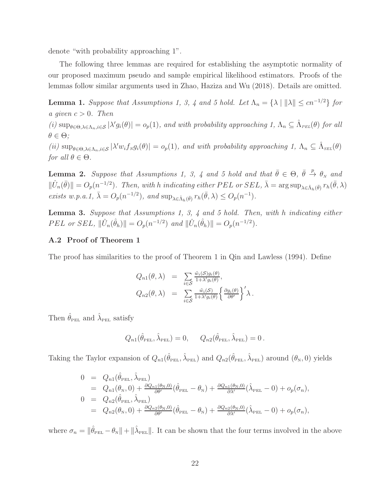denote "with probability approaching 1".

The following three lemmas are required for establishing the asymptotic normality of our proposed maximum pseudo and sample empirical likelihood estimators. Proofs of the lemmas follow similar arguments used in Zhao, Haziza and Wu (2018). Details are omitted.

**Lemma 1.** Suppose that Assumptions 1, 3, 4 and 5 hold. Let  $\Lambda_n = {\lambda | \|\lambda\| \leq cn^{-1/2}}$  for a given  $c > 0$ . Then

(i)  $\sup_{\theta \in \Theta, \lambda \in \Lambda_n, i \in \mathcal{S}} |\lambda' g_i(\theta)| = o_p(1)$ , and with probability approaching  $1, \Lambda_n \subseteq \hat{\Lambda}_{PEL}(\theta)$  for all  $\theta \in \Theta$ ;

(ii)  $\sup_{\theta \in \Theta, \lambda \in \Lambda_n, i \in \mathcal{S}} |\lambda' w_i f_{N} g_i(\theta)| = o_p(1)$ , and with probability approaching 1,  $\Lambda_n \subseteq \hat{\Lambda}_{\text{SEL}}(\theta)$ for all  $\theta \in \Theta$ .

**Lemma 2.** Suppose that Assumptions 1, 3, 4 and 5 hold and that  $\bar{\theta} \in \Theta$ ,  $\bar{\theta} \stackrel{p}{\rightarrow} \theta_N$  and  $\|\hat{U}_n(\bar{\theta})\| = O_p(n^{-1/2})$ . Then, with h indicating either PEL or SEL,  $\bar{\lambda} = \arg \sup_{\lambda \in \hat{\Lambda}_h(\bar{\theta})} r_h(\bar{\theta}, \lambda)$ exists w.p.a.1,  $\bar{\lambda} = O_p(n^{-1/2})$ , and  $\sup_{\lambda \in \hat{\Lambda}_h(\bar{\theta})} r_h(\bar{\theta}, \lambda) \leq O_p(n^{-1})$ .

Lemma 3. Suppose that Assumptions 1, 3, 4 and 5 hold. Then, with h indicating either PEL or SEL,  $\|\hat{U}_n(\hat{\theta}_h)\| = O_p(n^{-1/2})$  and  $\|\hat{U}_n(\hat{\theta}_h)\| = O_p(n^{-1/2})$ .

# A.2 Proof of Theorem 1

The proof has similarities to the proof of Theorem 1 in Qin and Lawless (1994). Define

$$
Q_{n1}(\theta, \lambda) = \sum_{i \in S} \frac{\tilde{w}_i(S)g_i(\theta)}{1 + \lambda' g_i(\theta)},
$$
  
\n
$$
Q_{n2}(\theta, \lambda) = \sum_{i \in S} \frac{\tilde{w}_i(S)}{1 + \lambda' g_i(\theta)} \left\{ \frac{\partial g_i(\theta)}{\partial \theta'} \right\}^{\prime} \lambda.
$$

Then  $\hat{\theta}_{\text{PEL}}$  and  $\hat{\lambda}_{\text{PEL}}$  satisfy

$$
Q_{n1}(\hat{\theta}_{\text{PEL}}, \hat{\lambda}_{\text{PEL}}) = 0, \quad Q_{n2}(\hat{\theta}_{\text{PEL}}, \hat{\lambda}_{\text{PEL}}) = 0.
$$

Taking the Taylor expansion of  $Q_{n1}(\hat{\theta}_{PEL}, \hat{\lambda}_{PEL})$  and  $Q_{n2}(\hat{\theta}_{PEL}, \hat{\lambda}_{PEL})$  around  $(\theta_N, 0)$  yields

$$
0 = Q_{n1}(\hat{\theta}_{\text{PEL}}, \hat{\lambda}_{\text{PEL}})
$$
  
\n=  $Q_{n1}(\theta_N, 0) + \frac{\partial Q_{n1}(\theta_N, 0)}{\partial \theta'}(\hat{\theta}_{\text{PEL}} - \theta_N) + \frac{\partial Q_{n1}(\theta_N, 0)}{\partial \lambda'}(\hat{\lambda}_{\text{PEL}} - 0) + o_p(\sigma_n),$   
\n0 =  $Q_{n2}(\hat{\theta}_{\text{PEL}}, \hat{\lambda}_{\text{PEL}})$   
\n=  $Q_{n2}(\theta_N, 0) + \frac{\partial Q_{n2}(\theta_N, 0)}{\partial \theta'}(\hat{\theta}_{\text{PEL}} - \theta_N) + \frac{\partial Q_{n2}(\theta_N, 0)}{\partial \lambda'}(\hat{\lambda}_{\text{PEL}} - 0) + o_p(\sigma_n),$ 

where  $\sigma_n = \|\hat{\theta}_{\text{PEL}} - \theta_{\text{N}}\| + \|\hat{\lambda}_{\text{PEL}}\|$ . It can be shown that the four terms involved in the above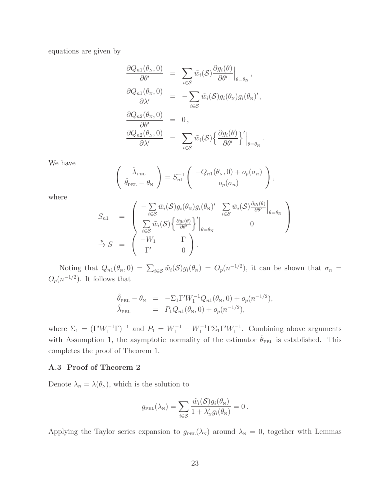equations are given by

$$
\frac{\partial Q_{n1}(\theta_N, 0)}{\partial \theta'} = \sum_{i \in S} \tilde{w}_i(S) \frac{\partial g_i(\theta)}{\partial \theta'} \Big|_{\theta = \theta_N},
$$
  

$$
\frac{\partial Q_{n1}(\theta_N, 0)}{\partial \lambda'} = -\sum_{i \in S} \tilde{w}_i(S) g_i(\theta_N) g_i(\theta_N)',
$$
  

$$
\frac{\partial Q_{n2}(\theta_N, 0)}{\partial \theta'} = 0,
$$
  

$$
\frac{\partial Q_{n2}(\theta_N, 0)}{\partial \lambda'} = \sum_{i \in S} \tilde{w}_i(S) \left\{ \frac{\partial g_i(\theta)}{\partial \theta'} \right\}' \Big|_{\theta = \theta_N}.
$$

We have

$$
\begin{pmatrix}\n\hat{\lambda}_{\text{PEL}} \\
\hat{\theta}_{\text{PEL}} - \theta_{\text{N}}\n\end{pmatrix} = S_{n1}^{-1} \begin{pmatrix}\n-Q_{n1}(\theta_{\text{N}}, 0) + o_p(\sigma_n) \\
o_p(\sigma_n)\n\end{pmatrix},
$$

where

$$
S_{n1} = \begin{pmatrix} -\sum_{i \in S} \tilde{w}_i(S) g_i(\theta_N) g_i(\theta_N)' & \sum_{i \in S} \tilde{w}_i(S) \frac{\partial g_i(\theta)}{\partial \theta'} \Big|_{\theta = \theta_N} \\ \sum_{i \in S} \tilde{w}_i(S) \left\{ \frac{\partial g_i(\theta)}{\partial \theta'} \right\}' \Big|_{\theta = \theta_N} & 0 \end{pmatrix}
$$
  
\n
$$
\xrightarrow{p} S = \begin{pmatrix} -W_1 & \Gamma \\ \Gamma' & 0 \end{pmatrix}.
$$

Noting that  $Q_{n1}(\theta_N, 0) = \sum_{i \in S} \tilde{w}_i(\mathcal{S}) g_i(\theta_N) = O_p(n^{-1/2})$ , it can be shown that  $\sigma_n =$  $O_p(n^{-1/2})$ . It follows that

$$
\hat{\theta}_{\text{PEL}} - \theta_{\text{N}} = -\Sigma_1 \Gamma' W_1^{-1} Q_{n1}(\theta_{\text{N}}, 0) + o_p(n^{-1/2}), \n\hat{\lambda}_{\text{PEL}} = P_1 Q_{n1}(\theta_{\text{N}}, 0) + o_p(n^{-1/2}),
$$

where  $\Sigma_1 = (\Gamma' W_1^{-1} \Gamma)^{-1}$  and  $P_1 = W_1^{-1} - W_1^{-1} \Gamma \Sigma_1 \Gamma' W_1^{-1}$ . Combining above arguments with Assumption 1, the asymptotic normality of the estimator  $\hat{\theta}_{PEL}$  is established. This completes the proof of Theorem 1.

# A.3 Proof of Theorem 2

Denote  $\lambda_{N} = \lambda(\theta_{N})$ , which is the solution to

$$
g_{\text{PEL}}(\lambda_{\text{N}}) = \sum_{i \in \mathcal{S}} \frac{\tilde{w}_i(\mathcal{S}) g_i(\theta_{\text{N}})}{1 + \lambda_{\text{N}}' g_i(\theta_{\text{N}})} = 0.
$$

Applying the Taylor series expansion to  $g_{PEL}(\lambda_N)$  around  $\lambda_N = 0$ , together with Lemmas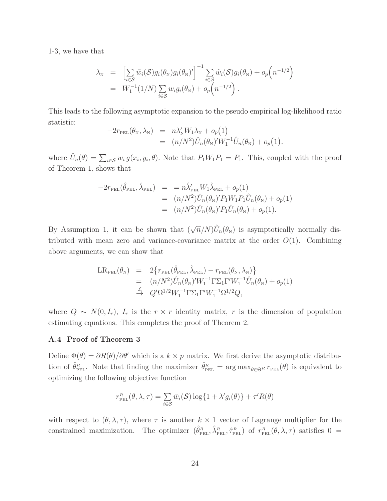1-3, we have that

$$
\lambda_{\mathcal{N}} = \left[ \sum_{i \in \mathcal{S}} \tilde{w}_i(\mathcal{S}) g_i(\theta_{\mathcal{N}}) g_i(\theta_{\mathcal{N}})' \right]^{-1} \sum_{i \in \mathcal{S}} \tilde{w}_i(\mathcal{S}) g_i(\theta_{\mathcal{N}}) + o_p(n^{-1/2})
$$
  
=  $W_1^{-1}(1/N) \sum_{i \in \mathcal{S}} w_i g_i(\theta_{\mathcal{N}}) + o_p(n^{-1/2}).$ 

This leads to the following asymptotic expansion to the pseudo empirical log-likelihood ratio statistic:

$$
-2r_{\text{PEL}}(\theta_N, \lambda_N) = n\lambda'_N W_1 \lambda_N + o_p(1)
$$
  
= 
$$
(n/N^2)\hat{U}_n(\theta_N)'W_1^{-1}\hat{U}_n(\theta_N) + o_p(1).
$$

where  $\hat{U}_n(\theta) = \sum_{i \in \mathcal{S}} w_i g(x_i, y_i, \theta)$ . Note that  $P_1 W_1 P_1 = P_1$ . This, coupled with the proof of Theorem 1, shows that

$$
-2r_{\text{PEL}}(\hat{\theta}_{\text{PEL}}, \hat{\lambda}_{\text{PEL}}) = = n\hat{\lambda}'_{\text{PEL}}W_1\hat{\lambda}_{\text{PEL}} + o_p(1)
$$
  
= 
$$
(n/N^2)\hat{U}_n(\theta_N)'P_1W_1P_1\hat{U}_n(\theta_N) + o_p(1)
$$
  
= 
$$
(n/N^2)\hat{U}_n(\theta_N)'P_1\hat{U}_n(\theta_N) + o_p(1).
$$

By Assumption 1, it can be shown that  $(\sqrt{n}/N)\hat{U}_n(\theta_N)$  is asymptotically normally distributed with mean zero and variance-covariance matrix at the order  $O(1)$ . Combining above arguments, we can show that

$$
LR_{\text{PEL}}(\theta_N) = 2\{r_{\text{PEL}}(\hat{\theta}_{\text{PEL}}, \hat{\lambda}_{\text{PEL}}) - r_{\text{PEL}}(\theta_N, \lambda_N)\}
$$
  
=  $(n/N^2)\hat{U}_n(\theta_N)'W_1^{-1}\Gamma\Sigma_1\Gamma'W_1^{-1}\hat{U}_n(\theta_N) + o_p(1)$   
 $\xrightarrow{\mathcal{L}} Q'\Omega^{1/2}W_1^{-1}\Gamma\Sigma_1\Gamma'W_1^{-1}\Omega^{1/2}Q,$ 

where  $Q \sim N(0, I_r)$ ,  $I_r$  is the  $r \times r$  identity matrix, r is the dimension of population estimating equations. This completes the proof of Theorem 2.

### A.4 Proof of Theorem 3

Define  $\Phi(\theta) = \partial R(\theta)/\partial \theta'$  which is a  $k \times p$  matrix. We first derive the asymptotic distribution of  $\hat{\theta}_{PEL}^R$ . Note that finding the maximizer  $\hat{\theta}_{PEL}^R = \arg \max_{\theta \in \Theta^R} r_{PEL}(\theta)$  is equivalent to optimizing the following objective function

$$
r_{\text{PEL}}^{R}(\theta, \lambda, \tau) = \sum_{i \in \mathcal{S}} \tilde{w}_i(\mathcal{S}) \log\{1 + \lambda' g_i(\theta)\} + \tau' R(\theta)
$$

with respect to  $(\theta, \lambda, \tau)$ , where  $\tau$  is another  $k \times 1$  vector of Lagrange multiplier for the constrained maximization. The optimizer  $(\hat{\theta}_{PEL}^R, \hat{\lambda}_{PEL}^R, \hat{\tau}_{PEL}^R)$  of  $r_{PEL}^R(\theta, \lambda, \tau)$  satisfies  $0 =$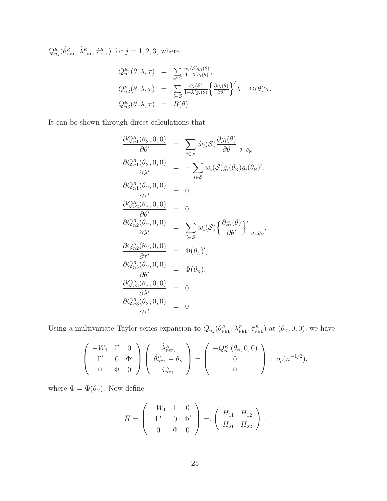$Q_{nj}^R(\hat{\theta}_{\text{PEL}}^R, \hat{\lambda}_{\text{PEL}}^R, \hat{\tau}_{\text{PEL}}^R)$  for  $j = 1, 2, 3$ , where

$$
Q_{n1}^{R}(\theta, \lambda, \tau) = \sum_{i \in S} \frac{\tilde{w}_{i}(S)g_{i}(\theta)}{1 + \lambda' g_{i}(\theta)},
$$
  
\n
$$
Q_{n2}^{R}(\theta, \lambda, \tau) = \sum_{i \in S} \frac{\tilde{w}_{i}(S)}{1 + \lambda' g_{i}(\theta)} \left\{ \frac{\partial g_{i}(\theta)}{\partial \theta'} \right\}' \lambda + \Phi(\theta)'\tau,
$$
  
\n
$$
Q_{n3}^{R}(\theta, \lambda, \tau) = R(\theta).
$$

It can be shown through direct calculations that

$$
\frac{\partial Q_{n1}^{R}(\theta_{N}, 0, 0)}{\partial \theta'} = \sum_{i \in S} \tilde{w}_{i}(\mathcal{S}) \frac{\partial g_{i}(\theta)}{\partial \theta} \Big|_{\theta = \theta_{N}},
$$
\n
$$
\frac{\partial Q_{n1}^{R}(\theta_{N}, 0, 0)}{\partial \lambda'} = -\sum_{i \in S} \tilde{w}_{i}(\mathcal{S}) g_{i}(\theta_{N}) g_{i}(\theta_{N})',
$$
\n
$$
\frac{\partial Q_{n1}^{R}(\theta_{N}, 0, 0)}{\partial \tau'} = 0,
$$
\n
$$
\frac{\partial Q_{n2}^{R}(\theta_{N}, 0, 0)}{\partial \lambda'} = \sum_{i \in S} \tilde{w}_{i}(\mathcal{S}) \left\{ \frac{\partial g_{i}(\theta)}{\partial \theta'} \right\}' \Big|_{\theta = \theta_{N}},
$$
\n
$$
\frac{\partial Q_{n2}^{R}(\theta_{N}, 0, 0)}{\partial \tau'} = \Phi(\theta_{N})',
$$
\n
$$
\frac{\partial Q_{n3}^{R}(\theta_{N}, 0, 0)}{\partial \theta'} = \Phi(\theta_{N}),
$$
\n
$$
\frac{\partial Q_{n3}^{R}(\theta_{N}, 0, 0)}{\partial \lambda'} = 0,
$$
\n
$$
\frac{\partial Q_{n3}^{R}(\theta_{N}, 0, 0)}{\partial \tau'} = 0,
$$
\n
$$
\frac{\partial Q_{n3}^{R}(\theta_{N}, 0, 0)}{\partial \tau'} = 0.
$$

Using a multivariate Taylor series expansion to  $Q_{nj}(\hat{\theta}_{\text{PEL}}^R, \hat{\lambda}_{\text{PEL}}^R, \hat{\tau}_{\text{PEL}}^R)$  at  $(\theta_N, 0, 0)$ , we have

$$
\begin{pmatrix}\n-W_1 & \Gamma & 0 \\
\Gamma' & 0 & \Phi' \\
0 & \Phi & 0\n\end{pmatrix}\n\begin{pmatrix}\n\hat{\lambda}_{\text{PEL}}^R \\
\hat{\theta}_{\text{PEL}}^R - \theta_N \\
\hat{\tau}_{\text{PEL}}^R\n\end{pmatrix} = \begin{pmatrix}\n-Q_{n1}^R(\theta_N, 0, 0) \\
0 \\
0\n\end{pmatrix} + o_p(n^{-1/2}),
$$

where  $\Phi = \Phi(\theta_{\text{\tiny N}}).$  Now define

$$
H = \left(\begin{array}{ccc} -W_1 & \Gamma & 0 \\ \Gamma' & 0 & \Phi' \\ 0 & \Phi & 0 \end{array}\right) =: \left(\begin{array}{ccc} H_{11} & H_{12} \\ H_{21} & H_{22} \end{array}\right),
$$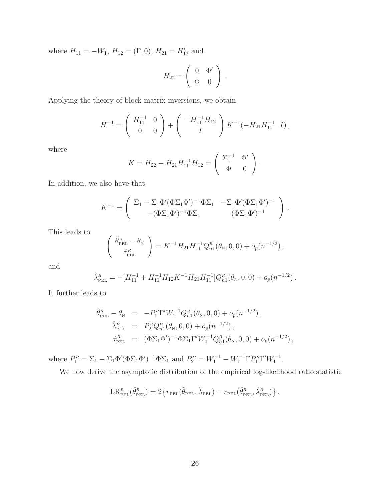where  $H_{11} = -W_1$ ,  $H_{12} = (\Gamma, 0)$ ,  $H_{21} = H'_{12}$  and

$$
H_{22} = \left(\begin{array}{cc} 0 & \Phi' \\ \Phi & 0 \end{array}\right) .
$$

Applying the theory of block matrix inversions, we obtain

$$
H^{-1} = \begin{pmatrix} H_{11}^{-1} & 0 \\ 0 & 0 \end{pmatrix} + \begin{pmatrix} -H_{11}^{-1}H_{12} \\ I \end{pmatrix} K^{-1}(-H_{21}H_{11}^{-1} I),
$$

where

$$
K = H_{22} - H_{21}H_{11}^{-1}H_{12} = \begin{pmatrix} \Sigma_1^{-1} & \Phi' \\ \Phi & 0 \end{pmatrix}.
$$

In addition, we also have that

$$
K^{-1} = \begin{pmatrix} \Sigma_1 - \Sigma_1 \Phi' (\Phi \Sigma_1 \Phi')^{-1} \Phi \Sigma_1 & -\Sigma_1 \Phi' (\Phi \Sigma_1 \Phi')^{-1} \\ -(\Phi \Sigma_1 \Phi')^{-1} \Phi \Sigma_1 & (\Phi \Sigma_1 \Phi')^{-1} \end{pmatrix}.
$$

This leads to

$$
\begin{pmatrix}\n\hat{\theta}_{\text{PEL}}^R - \theta_{\text{N}} \\
\hat{\tau}_{\text{PEL}}^R\n\end{pmatrix} = K^{-1} H_{21} H_{11}^{-1} Q_{n1}^R (\theta_{\text{N}}, 0, 0) + o_p(n^{-1/2}),
$$

and

$$
\hat{\lambda}_{\text{PEL}}^R = -[H_{11}^{-1} + H_{11}^{-1}H_{12}K^{-1}H_{21}H_{11}^{-1}]Q_{n1}^R(\theta_N, 0, 0) + o_p(n^{-1/2}).
$$

It further leads to

$$
\hat{\theta}_{\text{PEL}}^{R} - \theta_{\text{N}} = -P_{1}^{R} \Gamma' W_{1}^{-1} Q_{n1}^{R} (\theta_{\text{N}}, 0, 0) + o_{p}(n^{-1/2}),
$$
\n
$$
\hat{\lambda}_{\text{PEL}}^{R} = P_{2}^{R} Q_{n1}^{R} (\theta_{\text{N}}, 0, 0) + o_{p}(n^{-1/2}),
$$
\n
$$
\hat{\tau}_{\text{PEL}}^{R} = (\Phi \Sigma_{1} \Phi')^{-1} \Phi \Sigma_{1} \Gamma' W_{1}^{-1} Q_{n1}^{R} (\theta_{\text{N}}, 0, 0) + o_{p}(n^{-1/2}),
$$

where  $P_1^R = \Sigma_1 - \Sigma_1 \Phi'(\Phi \Sigma_1 \Phi')^{-1} \Phi \Sigma_1$  and  $P_2^R = W_1^{-1} - W_1^{-1} \Gamma P_1^R \Gamma' W_1^{-1}$ .

We now derive the asymptotic distribution of the empirical log-likelihood ratio statistic

$$
\text{LR}_{\text{PEL}}^R(\hat{\theta}_{\text{PEL}}^R) = 2\left\{r_{\text{PEL}}(\hat{\theta}_{\text{PEL}}, \hat{\lambda}_{\text{PEL}}) - r_{\text{PEL}}(\hat{\theta}_{\text{PEL}}^R, \hat{\lambda}_{\text{PEL}}^R)\right\}.
$$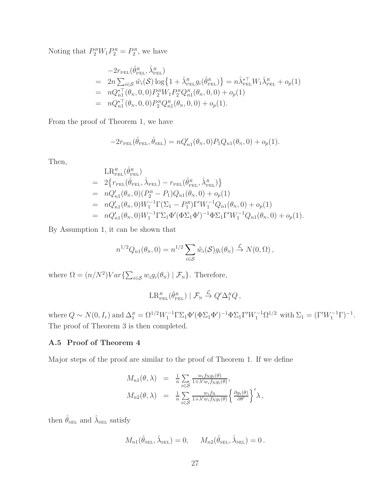Noting that  $P_2^{\scriptscriptstyle R} W_1 P_2^{\scriptscriptstyle R} = P_2^{\scriptscriptstyle R}$ , we have

$$
-2r_{\text{PEL}}(\hat{\theta}_{\text{PEL}}^{R}, \hat{\lambda}_{\text{PEL}}^{R})
$$
  
=  $2n \sum_{i \in S} \tilde{w}_i(\mathcal{S}) \log \{1 + \hat{\lambda}_{\text{PEL}}^{R} g_i(\hat{\theta}_{\text{PEL}}^{R})\} = n \hat{\lambda}_{\text{PEL}}^{*T} W_1 \hat{\lambda}_{\text{PEL}}^{R} + o_p(1)$   
=  $n Q_{n1}^{*T}(\theta_N, 0, 0) P_2^R W_1 P_2^R Q_{n1}^R(\theta_N, 0, 0) + o_p(1)$   
=  $n Q_{n1}^{*T}(\theta_N, 0, 0) P_2^R Q_{n1}^R(\theta_N, 0, 0) + o_p(1).$ 

From the proof of Theorem 1, we have

$$
-2r_{\text{PEL}}(\hat{\theta}_{\text{PEL}}, \hat{\theta}_{\text{SEL}}) = nQ'_{n1}(\theta_N, 0)P_1Q_{n1}(\theta_N, 0) + o_p(1).
$$

Then,

$$
LR_{PEL}^{R}(\hat{\theta}_{PEL}^{R})
$$
  
=  $2\{r_{PEL}(\hat{\theta}_{PEL}, \hat{\lambda}_{PEL}) - r_{PEL}(\hat{\theta}_{PEL}^{R}, \hat{\lambda}_{PEL}^{R})\}$   
=  $nQ'_{n1}(\theta_{N}, 0)(P_{2}^{R} - P_{1})Q_{n1}(\theta_{N}, 0) + o_{p}(1)$   
=  $nQ'_{n1}(\theta_{N}, 0)W_{1}^{-1}\Gamma(\Sigma_{1} - P_{1}^{R})\Gamma'W_{1}^{-1}Q_{n1}(\theta_{N}, 0) + o_{p}(1)$   
=  $nQ'_{n1}(\theta_{N}, 0)W_{1}^{-1}\Gamma\Sigma_{1}\Phi'(\Phi\Sigma_{1}\Phi')^{-1}\Phi\Sigma_{1}\Gamma'W_{1}^{-1}Q_{n1}(\theta_{N}, 0) + o_{p}(1).$ 

By Assumption 1, it can be shown that

$$
n^{1/2}Q_{n1}(\theta_{N},0)=n^{1/2}\sum_{i\in S}\tilde{w}_{i}(\mathcal{S})g_{i}(\theta_{N})\overset{\mathcal{L}}{\rightarrow}N(0,\Omega),
$$

where  $\Omega = (n/N^2)Var\{\sum_{i \in S} w_i g_i(\theta_{N}) \mid \mathcal{F}_{N}\}.$  Therefore,

$$
\operatorname{LR}_{\scriptscriptstyle \rm PEL}^{\scriptscriptstyle {R}}(\hat{\theta}^{\scriptscriptstyle {R}}_{\scriptscriptstyle \rm PEL})\mid \mathcal{F}_{\scriptscriptstyle {\rm N}}\stackrel{\mathcal{L}}{\to} Q^{\prime}\Delta_1^{\scriptscriptstyle {R}}Q\,,
$$

where  $Q \sim N(0, I_r)$  and  $\Delta_1^R = \Omega^{1/2} W_1^{-1} \Gamma \Sigma_1 \Phi'(\Phi \Sigma_1 \Phi')^{-1} \Phi \Sigma_1 \Gamma' W_1^{-1} \Omega^{1/2}$  with  $\Sigma_1 = (\Gamma' W_1^{-1} \Gamma)^{-1}$ . The proof of Theorem 3 is then completed.

# A.5 Proof of Theorem 4

Major steps of the proof are similar to the proof of Theorem 1. If we define

$$
M_{n1}(\theta, \lambda) = \frac{1}{n} \sum_{i \in S} \frac{w_i f_{\text{N}} g_i(\theta)}{1 + \lambda' w_i f_{\text{N}} g_i(\theta)},
$$
  

$$
M_{n2}(\theta, \lambda) = \frac{1}{n} \sum_{i \in S} \frac{w_i f_{\text{N}}}{1 + \lambda' w_i f_{\text{N}} g_i(\theta)} \left\{ \frac{\partial g_i(\theta)}{\partial \theta'} \right\}' \lambda,
$$

then  $\hat{\theta}_{\text{\tiny SEL}}$  and  $\hat{\lambda}_{\text{\tiny SEL}}$  satisfy

$$
M_{n1}(\hat{\theta}_{\text{SEL}}, \hat{\lambda}_{\text{SEL}}) = 0, \quad M_{n2}(\hat{\theta}_{\text{SEL}}, \hat{\lambda}_{\text{SEL}}) = 0.
$$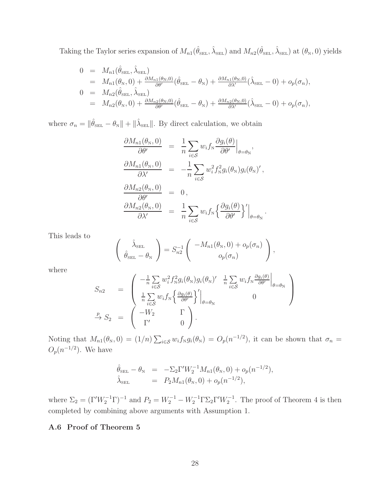Taking the Taylor series expansion of  $M_{n1}(\hat{\theta}_{\text{\tiny SEL}}, \hat{\lambda}_{\text{\tiny SEL}})$  and  $M_{n2}(\hat{\theta}_{\text{\tiny SEL}}, \hat{\lambda}_{\text{\tiny SEL}})$  at  $(\theta_{\text{\tiny N}}, 0)$  yields

$$
0 = M_{n1}(\hat{\theta}_{\text{SEL}}, \hat{\lambda}_{\text{SEL}})
$$
  
\n
$$
= M_{n1}(\theta_N, 0) + \frac{\partial M_{n1}(\theta_N, 0)}{\partial \theta'}(\hat{\theta}_{\text{SEL}} - \theta_N) + \frac{\partial M_{n1}(\theta_N, 0)}{\partial \lambda'}(\hat{\lambda}_{\text{SEL}} - 0) + o_p(\sigma_n),
$$
  
\n
$$
0 = M_{n2}(\hat{\theta}_{\text{SEL}}, \hat{\lambda}_{\text{SEL}})
$$
  
\n
$$
= M_{n2}(\theta_N, 0) + \frac{\partial M_{n2}(\theta_N, 0)}{\partial \theta'}(\hat{\theta}_{\text{SEL}} - \theta_N) + \frac{\partial M_{n2}(\theta_N, 0)}{\partial \lambda'}(\hat{\lambda}_{\text{SEL}} - 0) + o_p(\sigma_n),
$$

where  $\sigma_n = \|\hat{\theta}_{\text{SEL}} - \theta_{\text{N}}\| + \|\hat{\lambda}_{\text{SEL}}\|$ . By direct calculation, we obtain

$$
\frac{\partial M_{n1}(\theta_N, 0)}{\partial \theta'} = \frac{1}{n} \sum_{i \in S} w_i f_N \frac{\partial g_i(\theta)}{\partial \theta'} \Big|_{\theta = \theta_N},
$$
  

$$
\frac{\partial M_{n1}(\theta_N, 0)}{\partial \lambda'} = -\frac{1}{n} \sum_{i \in S} w_i^2 f_N^2 g_i(\theta_N) g_i(\theta_N)',
$$
  

$$
\frac{\partial M_{n2}(\theta_N, 0)}{\partial \theta'} = 0,
$$
  

$$
\frac{\partial M_{n2}(\theta_N, 0)}{\partial \lambda'} = \frac{1}{n} \sum_{i \in S} w_i f_N \left\{ \frac{\partial g_i(\theta)}{\partial \theta'} \right\}' \Big|_{\theta = \theta_N}.
$$

This leads to

$$
\begin{pmatrix}\n\hat{\lambda}_{\text{SEL}} \\
\hat{\theta}_{\text{SEL}} - \theta_{\text{N}}\n\end{pmatrix} = S_{n2}^{-1} \begin{pmatrix}\n-M_{n1}(\theta_{\text{N}}, 0) + o_p(\sigma_n) \\
o_p(\sigma_n)\n\end{pmatrix},
$$

where

$$
S_{n2} = \begin{pmatrix} -\frac{1}{n} \sum_{i \in S} w_i^2 f_N^2 g_i(\theta_N) g_i(\theta_N)' & \frac{1}{n} \sum_{i \in S} w_i f_N \frac{\partial g_i(\theta)}{\partial \theta'} \Big|_{\theta = \theta_N} \\ \frac{1}{n} \sum_{i \in S} w_i f_N \left\{ \frac{\partial g_i(\theta)}{\partial \theta'} \right\}' \Big|_{\theta = \theta_N} & 0 \\ \frac{p}{\Gamma'} & 0 \end{pmatrix}.
$$

Noting that  $M_{n1}(\theta_N, 0) = (1/n) \sum_{i \in S} w_i f_N g_i(\theta_N) = O_p(n^{-1/2})$ , it can be shown that  $\sigma_n =$  $O_p(n^{-1/2})$ . We have

$$
\hat{\theta}_{\text{SEL}} - \theta_{\text{N}} = -\Sigma_2 \Gamma' W_2^{-1} M_{n1}(\theta_{\text{N}}, 0) + o_p(n^{-1/2}), \n\hat{\lambda}_{\text{SEL}} = P_2 M_{n1}(\theta_{\text{N}}, 0) + o_p(n^{-1/2}),
$$

where  $\Sigma_2 = (\Gamma' W_2^{-1} \Gamma)^{-1}$  and  $P_2 = W_2^{-1} - W_2^{-1} \Gamma \Sigma_2 \Gamma' W_2^{-1}$ . The proof of Theorem 4 is then completed by combining above arguments with Assumption 1.

# A.6 Proof of Theorem 5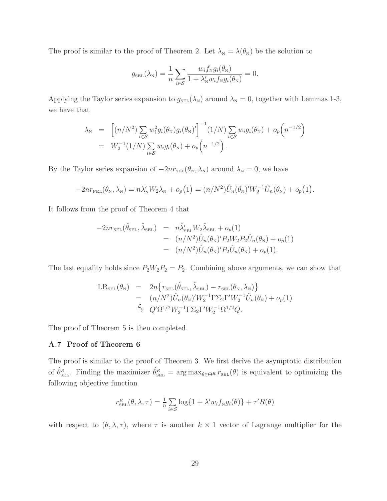The proof is similar to the proof of Theorem 2. Let  $\lambda_N = \lambda(\theta_N)$  be the solution to

$$
g_{\text{SEL}}(\lambda_{\text{N}}) = \frac{1}{n} \sum_{i \in S} \frac{w_i f_{\text{N}} g_i(\theta_{\text{N}})}{1 + \lambda_{\text{N}}' w_i f_{\text{N}} g_i(\theta_{\text{N}})} = 0.
$$

Applying the Taylor series expansion to  $g_{\text{SEL}}(\lambda_N)$  around  $\lambda_N = 0$ , together with Lemmas 1-3, we have that

$$
\lambda_{N} = \left[ (n/N^{2}) \sum_{i \in S} w_{i}^{2} g_{i}(\theta_{N}) g_{i}(\theta_{N})' \right]^{-1} (1/N) \sum_{i \in S} w_{i} g_{i}(\theta_{N}) + o_{p}(n^{-1/2})
$$
  
=  $W_{2}^{-1} (1/N) \sum_{i \in S} w_{i} g_{i}(\theta_{N}) + o_{p}(n^{-1/2}).$ 

By the Taylor series expansion of  $-2nr_{\text{SEL}}(\theta_N, \lambda_N)$  around  $\lambda_N = 0$ , we have

$$
-2nr_{\text{PEL}}(\theta_N, \lambda_N) = n\lambda'_N W_2 \lambda_N + o_p(1) = (n/N^2)\hat{U}_n(\theta_N)' W_2^{-1}\hat{U}_n(\theta_N) + o_p(1).
$$

It follows from the proof of Theorem 4 that

$$
-2nr_{\text{SEL}}(\hat{\theta}_{\text{SEL}}, \hat{\lambda}_{\text{SEL}}) = n\hat{\lambda}'_{\text{SEL}}W_2\hat{\lambda}_{\text{SEL}} + o_p(1)
$$
  
= 
$$
(n/N^2)\hat{U}_n(\theta_N)'P_2W_2P_2\hat{U}_n(\theta_N) + o_p(1)
$$
  
= 
$$
(n/N^2)\hat{U}_n(\theta_N)'P_2\hat{U}_n(\theta_N) + o_p(1).
$$

The last equality holds since  $P_2W_2P_2 = P_2$ . Combining above arguments, we can show that

$$
LR_{\text{SEL}}(\theta_N) = 2n\{r_{\text{SEL}}(\hat{\theta}_{\text{SEL}}, \hat{\lambda}_{\text{SEL}}) - r_{\text{SEL}}(\theta_N, \lambda_N)\}
$$
  
=  $(n/N^2)\hat{U}_n(\theta_N)'W_2^{-1}\Gamma\Sigma_2\Gamma'W_2^{-1}\hat{U}_n(\theta_N) + o_p(1)$   
 $\xrightarrow{\mathcal{L}} Q'\Omega^{1/2}W_2^{-1}\Gamma\Sigma_2\Gamma'W_2^{-1}\Omega^{1/2}Q.$ 

The proof of Theorem 5 is then completed.

# A.7 Proof of Theorem 6

The proof is similar to the proof of Theorem 3. We first derive the asymptotic distribution of  $\hat{\theta}_{\text{SEL}}^R$ . Finding the maximizer  $\hat{\theta}_{\text{SEL}}^R = \arg \max_{\theta \in \Theta^R} r_{\text{SEL}}(\theta)$  is equivalent to optimizing the following objective function

$$
r_{\text{SEL}}^R(\theta, \lambda, \tau) = \frac{1}{n} \sum_{i \in \mathcal{S}} \log\{1 + \lambda' w_i f_{\text{N}} g_i(\theta)\} + \tau' R(\theta)
$$

with respect to  $(\theta, \lambda, \tau)$ , where  $\tau$  is another  $k \times 1$  vector of Lagrange multiplier for the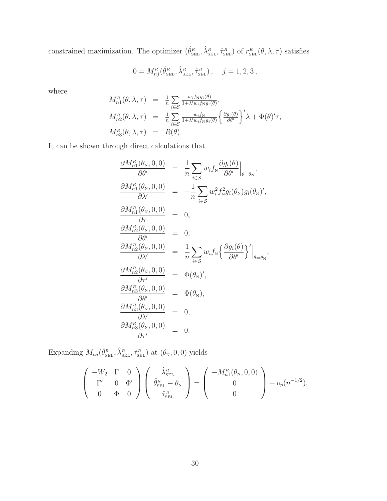constrained maximization. The optimizer  $(\hat{\theta}_{\text{\tiny SEL}}^R, \hat{\lambda}_{\text{\tiny SEL}}^R, \hat{\tau}_{\text{\tiny SEL}}^R)$  of  $r_{\text{\tiny SEL}}^R(\theta, \lambda, \tau)$  satisfies

$$
0 = M_{nj}^R(\hat{\theta}_{\text{SEL}}^R, \hat{\lambda}_{\text{SEL}}^R, \hat{\tau}_{\text{SEL}}^R), \quad j = 1, 2, 3,
$$

where

$$
M_{n1}^{R}(\theta, \lambda, \tau) = \frac{1}{n} \sum_{i \in S} \frac{w_{i} f_{N} g_{i}(\theta)}{1 + \lambda' w_{i} f_{N} g_{i}(\theta)},
$$
  
\n
$$
M_{n2}^{R}(\theta, \lambda, \tau) = \frac{1}{n} \sum_{i \in S} \frac{w_{i} f_{N}}{1 + \lambda' w_{i} f_{N} g_{i}(\theta)} \left\{ \frac{\partial g_{i}(\theta)}{\partial \theta'} \right\}' \lambda + \Phi(\theta)'\tau,
$$
  
\n
$$
M_{n3}^{R}(\theta, \lambda, \tau) = R(\theta).
$$

It can be shown through direct calculations that

$$
\frac{\partial M_{n1}^{R}(\theta_{N}, 0, 0)}{\partial \theta'} = \frac{1}{n} \sum_{i \in S} w_{i} f_{N} \frac{\partial g_{i}(\theta)}{\partial \theta'} \Big|_{\theta = \theta_{N}},
$$
\n
$$
\frac{\partial M_{n1}^{R}(\theta_{N}, 0, 0)}{\partial \lambda'} = -\frac{1}{n} \sum_{i \in S} w_{i}^{2} f_{N}^{2} g_{i}(\theta_{N}) g_{i}(\theta_{N})',
$$
\n
$$
\frac{\partial M_{n1}^{R}(\theta_{N}, 0, 0)}{\partial \tau} = 0,
$$
\n
$$
\frac{\partial M_{n2}^{R}(\theta_{N}, 0, 0)}{\partial \lambda'} = \frac{1}{n} \sum_{i \in S} w_{i} f_{N} \left\{ \frac{\partial g_{i}(\theta)}{\partial \theta'} \right\}' \Big|_{\theta = \theta_{N}},
$$
\n
$$
\frac{\partial M_{n2}^{R}(\theta_{N}, 0, 0)}{\partial \tau'} = \Phi(\theta_{N})',
$$
\n
$$
\frac{\partial M_{n3}^{R}(\theta_{N}, 0, 0)}{\partial \theta'} = \Phi(\theta_{N}),
$$
\n
$$
\frac{\partial M_{n3}^{R}(\theta_{N}, 0, 0)}{\partial \lambda'} = 0,
$$
\n
$$
\frac{\partial M_{n3}^{R}(\theta_{N}, 0, 0)}{\partial \tau'} = 0,
$$
\n
$$
\frac{\partial M_{n3}^{R}(\theta_{N}, 0, 0)}{\partial \tau'} = 0.
$$

Expanding  $M_{nj}(\hat{\theta}_{\text{SEL}}^R, \hat{\lambda}_{\text{SEL}}^R, \hat{\tau}_{\text{SEL}}^R)$  at  $(\theta_N, 0, 0)$  yields

$$
\begin{pmatrix}\n-W_2 & \Gamma & 0 \\
\Gamma' & 0 & \Phi' \\
0 & \Phi & 0\n\end{pmatrix}\n\begin{pmatrix}\n\hat{\lambda}_{\text{SEL}}^R \\
\hat{\theta}_{\text{SEL}}^R - \theta_N \\
\hat{\tau}_{\text{SEL}}^R\n\end{pmatrix} = \begin{pmatrix}\n-M_{n1}^R(\theta_N, 0, 0) \\
0 \\
0\n\end{pmatrix} + o_p(n^{-1/2}),
$$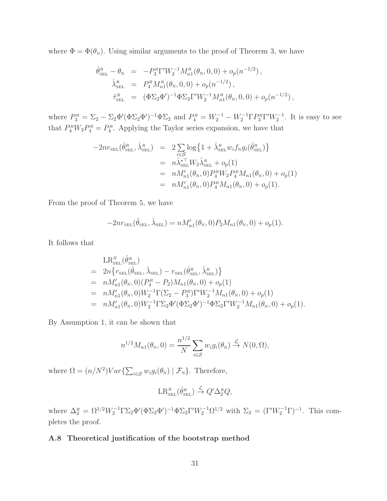where  $\Phi = \Phi(\theta_{N})$ . Using similar arguments to the proof of Theorem 3, we have

$$
\begin{aligned}\n\hat{\theta}_{\text{SEL}}^R - \theta_N &= -P_3^R \Gamma' W_2^{-1} M_{n1}^R(\theta_N, 0, 0) + o_p(n^{-1/2}), \\
\hat{\lambda}_{\text{SEL}}^R &= P_4^R M_{n1}^R(\theta_N, 0, 0) + o_p(n^{-1/2}), \\
\hat{\tau}_{\text{SEL}}^R &= (\Phi \Sigma_2 \Phi')^{-1} \Phi \Sigma_2 \Gamma' W_2^{-1} M_{n1}^R(\theta_N, 0, 0) + o_p(n^{-1/2}),\n\end{aligned}
$$

where  $P_3^R = \Sigma_2 - \Sigma_2 \Phi'(\Phi \Sigma_2 \Phi')^{-1} \Phi \Sigma_2$  and  $P_4^R = W_2^{-1} - W_2^{-1} \Gamma P_3^R \Gamma' W_2^{-1}$ . It is easy to see that  $P_4^R W_2 P_4^R = P_4^R$ . Applying the Taylor series expansion, we have that

$$
-2nr_{\text{SEL}}(\hat{\theta}_{\text{SEL}}^R, \hat{\lambda}_{\text{SEL}}^R) = 2 \sum_{i \in \mathcal{S}} \log \{ 1 + \hat{\lambda}_{\text{SEL}}^R w_i f_{\text{N}} g_i(\hat{\theta}_{\text{SEL}}^R) \}
$$
  

$$
= n \hat{\lambda}_{\text{SEL}}^* W_2 \hat{\lambda}_{\text{SEL}}^R + o_p(1)
$$
  

$$
= n M'_{n1}(\theta_{\text{N}}, 0) P_4^R W_2 P_4^R M_{n1}(\theta_{\text{N}}, 0) + o_p(1)
$$
  

$$
= n M'_{n1}(\theta_{\text{N}}, 0) P_4^R M_{n1}(\theta_{\text{N}}, 0) + o_p(1).
$$

From the proof of Theorem 5, we have

$$
-2nr_{\text{SEL}}(\hat{\theta}_{\text{SEL}}, \hat{\lambda}_{\text{SEL}}) = nM'_{n1}(\theta_N, 0)P_2M_{n1}(\theta_N, 0) + o_p(1).
$$

It follows that

$$
LR_{\text{SEL}}^{R}(\hat{\theta}_{\text{SEL}}^{R})
$$
  
=  $2n \{ r_{\text{SEL}}(\hat{\theta}_{\text{SEL}}, \hat{\lambda}_{\text{SEL}}) - r_{\text{SEL}}(\hat{\theta}_{\text{SEL}}, \hat{\lambda}_{\text{SEL}}^{R}) \}$   
=  $n M'_{n1}(\theta_{N}, 0) (P_{4}^{R} - P_{2}) M_{n1}(\theta_{N}, 0) + o_{p}(1)$   
=  $n M'_{n1}(\theta_{N}, 0) W_{2}^{-1} \Gamma(\Sigma_{2} - P_{3}^{R}) \Gamma' W_{2}^{-1} M_{n1}(\theta_{N}, 0) + o_{p}(1)$   
=  $n M'_{n1}(\theta_{N}, 0) W_{2}^{-1} \Gamma \Sigma_{2} \Phi' (\Phi \Sigma_{2} \Phi')^{-1} \Phi \Sigma_{2} \Gamma' W_{2}^{-1} M_{n1}(\theta_{N}, 0) + o_{p}(1).$ 

By Assumption 1, it can be shown that

$$
n^{1/2}M_{n1}(\theta_{\rm N},0) = \frac{n^{1/2}}{N} \sum_{i \in S} w_i g_i(\theta_{\rm N}) \stackrel{\mathcal{L}}{\rightarrow} N(0,\Omega),
$$

where  $\Omega = (n/N^2)Var\{\sum_{i \in S} w_i g_i(\theta_{N}) \mid \mathcal{F}_{N}\}.$  Therefore,

$$
\operatorname{LR}_{\scriptscriptstyle\rm SEL}^{\scriptscriptstyle {R}}(\hat{\theta}^{\scriptscriptstyle {R}}_{\scriptscriptstyle\rm SEL})\overset{\mathcal{L}}{\to} Q^{\prime}\Delta^{\scriptscriptstyle {R}}_2Q,
$$

where  $\Delta_2^R = \Omega^{1/2} W_2^{-1} \Gamma \Sigma_2 \Phi' (\Phi \Sigma_2 \Phi')^{-1} \Phi \Sigma_2 \Gamma' W_2^{-1} \Omega^{1/2}$  with  $\Sigma_2 = (\Gamma' W_2^{-1} \Gamma)^{-1}$ . This completes the proof.

# A.8 Theoretical justification of the bootstrap method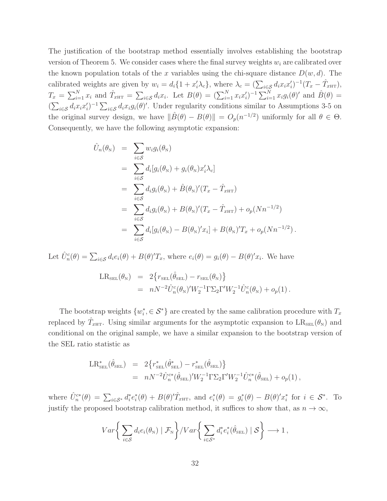The justification of the bootstrap method essentially involves establishing the bootstrap version of Theorem 5. We consider cases where the final survey weights  $w_i$  are calibrated over the known population totals of the x variables using the chi-square distance  $D(w, d)$ . The calibrated weights are given by  $w_i = d_i \{1 + x'_i \lambda_c\}$ , where  $\lambda_c = (\sum_{i \in \mathcal{S}} d_i x_i x'_i)$  $\hat{I}_i)^{-1}(T_x - \hat{T}_{x_{\text{HT}}}),$  $T_x = \sum_{i=1}^N x_i$  and  $\hat{T}_{x\text{HT}} = \sum_{i \in \mathcal{S}} d_i x_i$ . Let  $B(\theta) = (\sum_{i=1}^N x_i x_i')$  $(j)^{-1} \sum_{i=1}^{N} x_i g_i(\theta)'$  and  $\hat{B}(\theta) =$  $\left(\sum_{i\in\mathcal{S}}d_ix_ix_i'\right)$  $(i)^{-1} \sum_{i \in \mathcal{S}} d_i x_i g_i(\theta)'$ . Under regularity conditions similar to Assumptions 3-5 on the original survey design, we have  $\|\hat{B}(\theta) - B(\theta)\| = O_p(n^{-1/2})$  uniformly for all  $\theta \in \Theta$ . Consequently, we have the following asymptotic expansion:

$$
\hat{U}_n(\theta_N) = \sum_{i \in S} w_i g_i(\theta_N)
$$
\n
$$
= \sum_{i \in S} d_i [g_i(\theta_N) + g_i(\theta_N) x'_i \lambda_c]
$$
\n
$$
= \sum_{i \in S} d_i g_i(\theta_N) + \hat{B}(\theta_N)'(T_x - \hat{T}_{xHT})
$$
\n
$$
= \sum_{i \in S} d_i g_i(\theta_N) + B(\theta_N)'(T_x - \hat{T}_{xHT}) + o_p(Nn^{-1/2})
$$
\n
$$
= \sum_{i \in S} d_i [g_i(\theta_N) - B(\theta_N)'x_i] + B(\theta_N)'T_x + o_p(Nn^{-1/2}).
$$

Let  $\hat{U}_n^c(\theta) = \sum_{i \in \mathcal{S}} d_i e_i(\theta) + B(\theta)' T_x$ , where  $e_i(\theta) = g_i(\theta) - B(\theta)' x_i$ . We have

$$
LR_{\text{SEL}}(\theta_{\text{N}}) = 2\{r_{\text{SEL}}(\hat{\theta}_{\text{SEL}}) - r_{\text{SEL}}(\theta_{\text{N}})\}= nN^{-2}\hat{U}_{n}^{c}(\theta_{\text{N}})'W_{2}^{-1}\Gamma\Sigma_{2}\Gamma'W_{2}^{-1}\hat{U}_{n}^{c}(\theta_{\text{N}}) + o_{p}(1).
$$

The bootstrap weights  $\{w_i^*\}$  $i, \in S^*$ } are created by the same calibration procedure with  $T_x$ replaced by  $\hat{T}_{x\text{HT}}$ . Using similar arguments for the asymptotic expansion to  $LR_{\text{SEL}}(\theta_{N})$  and conditional on the original sample, we have a similar expansion to the bootstrap version of the SEL ratio statistic as

$$
\begin{array}{rcl} \mathrm{LR}^*_{\scriptscriptstyle{\rm SEL}}(\hat{\theta}_{\scriptscriptstyle{\rm SEL}}) & = & 2\bigl\{r^*_{\scriptscriptstyle{\rm SEL}}(\hat{\theta}^*_{\scriptscriptstyle{\rm SEL}}) - r^*_{\scriptscriptstyle{\rm SEL}}(\hat{\theta}_{\scriptscriptstyle{\rm SEL}}) \bigr\} \\ & = & n N^{-2} \hat{U}^{c*}_n(\hat{\theta}_{\scriptscriptstyle{\rm SEL}})' W_2^{-1} \Gamma \Sigma_2 \Gamma' W_2^{-1} \hat{U}^{c*}_n(\hat{\theta}_{\scriptscriptstyle{\rm SEL}}) + o_p(1) \,, \end{array}
$$

where  $\hat{U}_n^{c*}(\theta) = \sum_{i \in \mathcal{S}^*} d_i^*$  $ie^*_i$  $i^*(\theta) + B(\theta)'\hat{T}_{\text{2HT}}$ , and  $e_i^*$  $i^*(\theta) = g_i^*$  $i^*(\theta) - B(\theta)'x_i^*$ <sup>\*</sup> for  $i \in S^*$ . To justify the proposed bootstrap calibration method, it suffices to show that, as  $n \to \infty$ ,

$$
Var\bigg\{\sum_{i\in\mathcal{S}}d_ie_i(\theta_N)\mid \mathcal{F}_N\bigg\}/Var\bigg\{\sum_{i\in\mathcal{S}^*}d_i^*e_i^*(\hat{\theta}_{\text{SEL}})\mid \mathcal{S}\bigg\}\longrightarrow 1\,,
$$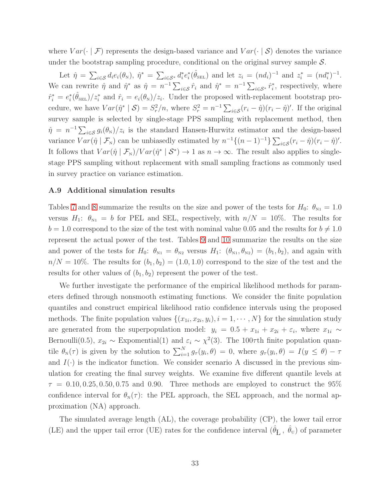where  $Var(\cdot | \mathcal{F})$  represents the design-based variance and  $Var(\cdot | \mathcal{S})$  denotes the variance under the bootstrap sampling procedure, conditional on the original survey sample  $S$ .

Let  $\hat{\eta} = \sum_{i \in \mathcal{S}} d_i e_i(\theta_{\rm N}), \ \hat{\eta}^* = \sum_{i \in \mathcal{S}^*} d_i^*$  $ie^*_i$  $i^*(\hat{\theta}_{\text{SEL}})$  and let  $z_i = (nd_i)^{-1}$  and  $z_i^* = (nd_i^*)^{-1}$ . We can rewrite  $\hat{\eta}$  and  $\hat{\eta}^*$  as  $\hat{\eta} = n^{-1} \sum_{i \in S} \hat{r}_i$  and  $\hat{\eta}^* = n^{-1} \sum_{i \in S^*} \hat{r}_i^*$  $i$ <sup>\*</sup>, respectively, where  $\hat{r}_i^* = e_i^*$  $\hat{i}(\hat{\theta}_{\text{SEL}})/z_i^*$  and  $\hat{r}_i = e_i(\theta_{\text{N}})/z_i$ . Under the proposed with-replacement bootstrap procedure, we have  $Var(\hat{\eta}^* | \mathcal{S}) = S_r^2/n$ , where  $S_r^2 = n^{-1} \sum_{i \in \mathcal{S}} (r_i - \hat{\eta})(r_i - \hat{\eta})'$ . If the original survey sample is selected by single-stage PPS sampling with replacement method, then  $\hat{\eta} = n^{-1} \sum_{i \in S} g_i(\theta_{N})/z_i$  is the standard Hansen-Hurwitz estimator and the design-based variance  $Var(\hat{\eta} | \mathcal{F}_N)$  can be unbiasedly estimated by  $n^{-1}\{(n-1)^{-1}\}\sum_{i\in\mathcal{S}}(r_i-\hat{\eta})(r_i-\hat{\eta})'.$ It follows that  $Var(\hat{\eta} | \mathcal{F}_N)/Var(\hat{\eta}^* | \mathcal{S}^*) \to 1$  as  $n \to \infty$ . The result also applies to singlestage PPS sampling without replacement with small sampling fractions as commonly used in survey practice on variance estimation.

### A.9 Additional simulation results

Tables [7](#page-45-0) and [8](#page-46-0) summarize the results on the size and power of the tests for  $H_0$ :  $\theta_{N1} = 1.0$ versus  $H_1$ :  $\theta_{N1} = b$  for PEL and SEL, respectively, with  $n/N = 10\%$ . The results for  $b = 1.0$  correspond to the size of the test with nominal value 0.05 and the results for  $b \neq 1.0$ represent the actual power of the test. Tables [9](#page-47-0) and [10](#page-48-0) summarize the results on the size and power of the tests for  $H_0$ :  $\theta_{N1} = \theta_{N2}$  versus  $H_1$ :  $(\theta_{N1}, \theta_{N2}) = (b_1, b_2)$ , and again with  $n/N = 10\%$ . The results for  $(b_1, b_2) = (1.0, 1.0)$  correspond to the size of the test and the results for other values of  $(b_1, b_2)$  represent the power of the test.

We further investigate the performance of the empirical likelihood methods for parameters defined through nonsmooth estimating functions. We consider the finite population quantiles and construct empirical likelihood ratio confidence intervals using the proposed methods. The finite population values  $\{(x_{1i}, x_{2i}, y_i), i = 1, \cdots, N\}$  for the simulation study are generated from the superpopulation model:  $y_i = 0.5 + x_{1i} + x_{2i} + \varepsilon_i$ , where  $x_{1i} \sim$ Bernoulli(0.5),  $x_{2i} \sim$  Expomential(1) and  $\varepsilon_i \sim \chi^2(3)$ . The 100 $\tau$ th finite population quantile  $\theta_{N}(\tau)$  is given by the solution to  $\sum_{i=1}^{N} g_{\tau}(y_i, \theta) = 0$ , where  $g_{\tau}(y_i, \theta) = I(y \le \theta) - \tau$ and  $I(\cdot)$  is the indicator function. We consider scenario A discussed in the previous simulation for creating the final survey weights. We examine five different quantile levels at  $\tau = 0.10, 0.25, 0.50, 0.75$  and 0.90. Three methods are employed to construct the 95% confidence interval for  $\theta_N(\tau)$ : the PEL approach, the SEL approach, and the normal approximation (NA) approach.

The simulated average length (AL), the coverage probability (CP), the lower tail error (LE) and the upper tail error (UE) rates for the confidence interval  $(\hat{\theta}_{\text{L}}^-, \hat{\theta}_{\text{U}})$  of parameter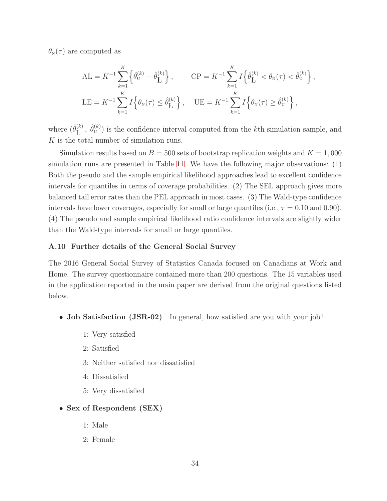$\theta_{\rm N}(\tau)$  are computed as

$$
AL = K^{-1} \sum_{k=1}^{K} \left\{ \hat{\theta}_{U}^{(k)} - \hat{\theta}_{L}^{(k)} \right\}, \qquad CP = K^{-1} \sum_{k=1}^{K} I \left\{ \hat{\theta}_{L}^{(k)} < \theta_{N}(\tau) < \hat{\theta}_{U}^{(k)} \right\},
$$
\n
$$
LE = K^{-1} \sum_{k=1}^{K} I \left\{ \theta_{N}(\tau) \leq \hat{\theta}_{L}^{(k)} \right\}, \qquad UE = K^{-1} \sum_{k=1}^{K} I \left\{ \theta_{N}(\tau) \geq \hat{\theta}_{U}^{(k)} \right\},
$$

where  $(\hat{\theta}_{\mathbf{I}}^{(k)})$  $\mathbf{E}^{(k)}$ ,  $\hat{\theta}_{\text{U}}^{(k)}$  is the confidence interval computed from the k<sup>th</sup> simulation sample, and K is the total number of simulation runs.

Simulation results based on  $B = 500$  sets of bootstrap replication weights and  $K = 1,000$ simulation runs are presented in Table [11.](#page-49-0) We have the following major observations: (1) Both the pseudo and the sample empirical likelihood approaches lead to excellent confidence intervals for quantiles in terms of coverage probabilities. (2) The SEL approach gives more balanced tail error rates than the PEL approach in most cases. (3) The Wald-type confidence intervals have lower coverages, especially for small or large quantiles (i.e.,  $\tau = 0.10$  and 0.90). (4) The pseudo and sample empirical likelihood ratio confidence intervals are slightly wider than the Wald-type intervals for small or large quantiles.

# A.10 Further details of the General Social Survey

The 2016 General Social Survey of Statistics Canada focused on Canadians at Work and Home. The survey questionnaire contained more than 200 questions. The 15 variables used in the application reported in the main paper are derived from the original questions listed below.

- **Job Satisfaction (JSR-02)** In general, how satisfied are you with your job?
	- 1: Very satisfied
	- 2: Satisfied
	- 3: Neither satisfied nor dissatisfied
	- 4: Dissatisfied
	- 5: Very dissatisfied

# • Sex of Respondent (SEX)

- 1: Male
- 2: Female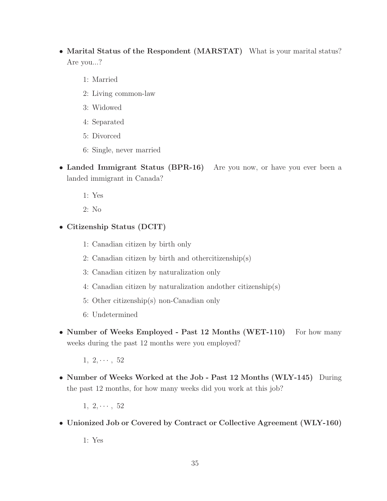- Marital Status of the Respondent (MARSTAT) What is your marital status? Are you...?
	- 1: Married
	- 2: Living common-law
	- 3: Widowed
	- 4: Separated
	- 5: Divorced
	- 6: Single, never married
- Landed Immigrant Status (BPR-16) Are you now, or have you ever been a landed immigrant in Canada?
	- 1: Yes
	- 2: No
- Citizenship Status (DCIT)
	- 1: Canadian citizen by birth only
	- 2: Canadian citizen by birth and othercitizenship(s)
	- 3: Canadian citizen by naturalization only
	- 4: Canadian citizen by naturalization andother citizenship(s)
	- 5: Other citizenship(s) non-Canadian only
	- 6: Undetermined
- Number of Weeks Employed Past 12 Months (WET-110) For how many weeks during the past 12 months were you employed?
	- $1, 2, \cdots, 52$
- Number of Weeks Worked at the Job Past 12 Months (WLY-145) During the past 12 months, for how many weeks did you work at this job?
	- $1, 2, \cdots, 52$
- Unionized Job or Covered by Contract or Collective Agreement (WLY-160)

1: Yes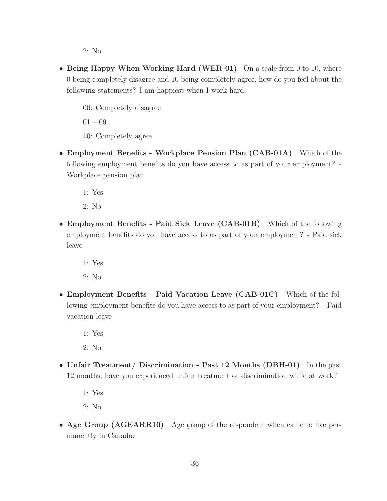2: No

- Being Happy When Working Hard (WER-01) On a scale from 0 to 10, where 0 being completely disagree and 10 being completely agree, how do you feel about the following statements? I am happiest when I work hard.
	- 00: Completely disagree

01 – 09

- 10: Completely agree
- Employment Benefits Workplace Pension Plan (CAB-01A) Which of the following employment benefits do you have access to as part of your employment? - Workplace pension plan

1: Yes

2: No

- Employment Benefits Paid Sick Leave (CAB-01B) Which of the following employment benefits do you have access to as part of your employment? - Paid sick leave
	- 1: Yes

2: No

• Employment Benefits - Paid Vacation Leave (CAB-01C) Which of the following employment benefits do you have access to as part of your employment? - Paid vacation leave

1: Yes

2: No

• Unfair Treatment/ Discrimination - Past 12 Months (DBH-01) In the past 12 months, have you experienced unfair treatment or discrimination while at work?

1: Yes

2: No

• Age Group (AGEARR10) Age group of the respondent when came to live permanently in Canada: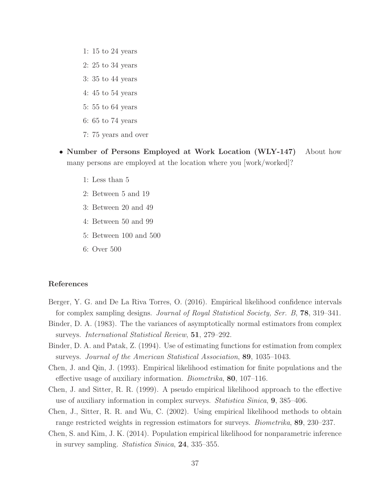- 1: 15 to 24 years
- 2: 25 to 34 years
- 3: 35 to 44 years
- 4: 45 to 54 years
- 5: 55 to 64 years
- 6: 65 to 74 years
- 7: 75 years and over
- Number of Persons Employed at Work Location (WLY-147) About how many persons are employed at the location where you [work/worked]?
	- 1: Less than 5
	- 2: Between 5 and 19
	- 3: Between 20 and 49
	- 4: Between 50 and 99
	- 5: Between 100 and 500
	- 6: Over 500

## References

- Berger, Y. G. and De La Riva Torres, O. (2016). Empirical likelihood confidence intervals for complex sampling designs. Journal of Royal Statistical Society, Ser. B, 78, 319–341.
- Binder, D. A. (1983). The the variances of asymptotically normal estimators from complex surveys. International Statistical Review, 51, 279–292.
- Binder, D. A. and Patak, Z. (1994). Use of estimating functions for estimation from complex surveys. Journal of the American Statistical Association, 89, 1035–1043.
- Chen, J. and Qin, J. (1993). Empirical likelihood estimation for finite populations and the effective usage of auxiliary information. Biometrika, 80, 107–116.
- Chen, J. and Sitter, R. R. (1999). A pseudo empirical likelihood approach to the effective use of auxiliary information in complex surveys. Statistica Sinica, 9, 385–406.
- Chen, J., Sitter, R. R. and Wu, C. (2002). Using empirical likelihood methods to obtain range restricted weights in regression estimators for surveys. Biometrika, 89, 230–237.
- Chen, S. and Kim, J. K. (2014). Population empirical likelihood for nonparametric inference in survey sampling. Statistica Sinica, 24, 335–355.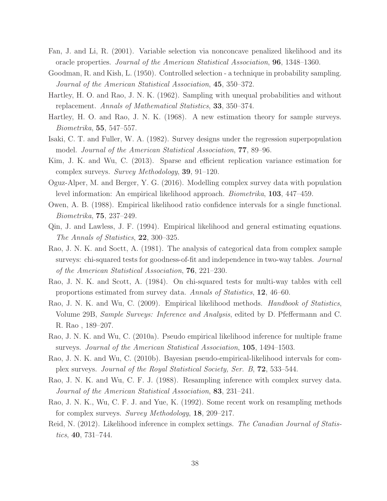- Fan, J. and Li, R. (2001). Variable selection via nonconcave penalized likelihood and its oracle properties. Journal of the American Statistical Association, 96, 1348–1360.
- Goodman, R. and Kish, L. (1950). Controlled selection a technique in probability sampling. Journal of the American Statistical Association, 45, 350–372.
- Hartley, H. O. and Rao, J. N. K. (1962). Sampling with unequal probabilities and without replacement. Annals of Mathematical Statistics, 33, 350–374.
- Hartley, H. O. and Rao, J. N. K. (1968). A new estimation theory for sample surveys. Biometrika, 55, 547–557.
- Isaki, C. T. and Fuller, W. A. (1982). Survey designs under the regression superpopulation model. Journal of the American Statistical Association, 77, 89–96.
- Kim, J. K. and Wu, C. (2013). Sparse and efficient replication variance estimation for complex surveys. Survey Methodology, 39, 91–120.
- Oguz-Alper, M. and Berger, Y. G. (2016). Modelling complex survey data with population level information: An empirical likelihood approach. Biometrika, 103, 447–459.
- Owen, A. B. (1988). Empirical likelihood ratio confidence intervals for a single functional. Biometrika, 75, 237–249.
- Qin, J. and Lawless, J. F. (1994). Empirical likelihood and general estimating equations. The Annals of Statistics, 22, 300–325.
- Rao, J. N. K. and Soctt, A. (1981). The analysis of categorical data from complex sample surveys: chi-squared tests for goodness-of-fit and independence in two-way tables. Journal of the American Statistical Association, 76, 221–230.
- Rao, J. N. K. and Scott, A. (1984). On chi-squared tests for multi-way tables with cell proportions estimated from survey data. Annals of Statistics, 12, 46–60.
- Rao, J. N. K. and Wu, C. (2009). Empirical likelihood methods. Handbook of Statistics, Volume 29B, Sample Surveys: Inference and Analysis, edited by D. Pfeffermann and C. R. Rao , 189–207.
- Rao, J. N. K. and Wu, C. (2010a). Pseudo empirical likelihood inference for multiple frame surveys. Journal of the American Statistical Association, 105, 1494–1503.
- Rao, J. N. K. and Wu, C. (2010b). Bayesian pseudo-empirical-likelihood intervals for complex surveys. Journal of the Royal Statistical Society, Ser. B, 72, 533–544.
- Rao, J. N. K. and Wu, C. F. J. (1988). Resampling inference with complex survey data. Journal of the American Statistical Association, 83, 231–241.
- Rao, J. N. K., Wu, C. F. J. and Yue, K. (1992). Some recent work on resampling methods for complex surveys. Survey Methodology, 18, 209–217.
- Reid, N. (2012). Likelihood inference in complex settings. The Canadian Journal of Statistics, 40, 731–744.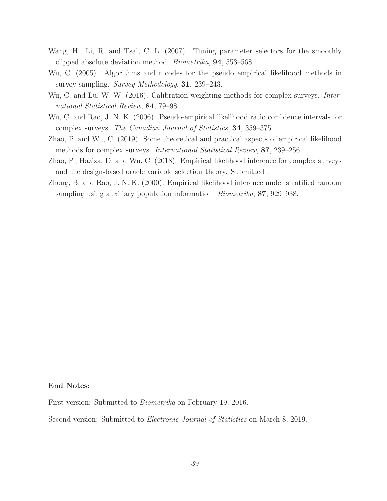- Wang, H., Li, R. and Tsai, C. L. (2007). Tuning parameter selectors for the smoothly clipped absolute deviation method. Biometrika, 94, 553–568.
- Wu, C. (2005). Algorithms and r codes for the pseudo empirical likelihood methods in survey sampling. Survey Methodology, 31, 239–243.
- Wu, C. and Lu, W. W. (2016). Calibration weighting methods for complex surveys. *Inter*national Statistical Review, 84, 79–98.
- Wu, C. and Rao, J. N. K. (2006). Pseudo-empirical likelihood ratio confidence intervals for complex surveys. The Canadian Journal of Statistics, 34, 359–375.
- Zhao, P. and Wu, C. (2019). Some theoretical and practical aspects of empirical likelihood methods for complex surveys. International Statistical Review, 87, 239–256.
- Zhao, P., Haziza, D. and Wu, C. (2018). Empirical likelihood inference for complex surveys and the design-based oracle variable selection theory. Submitted .
- Zhong, B. and Rao, J. N. K. (2000). Empirical likelihood inference under stratified random sampling using auxiliary population information. Biometrika, 87, 929–938.

# End Notes:

First version: Submitted to Biometrika on February 19, 2016.

Second version: Submitted to Electronic Journal of Statistics on March 8, 2019.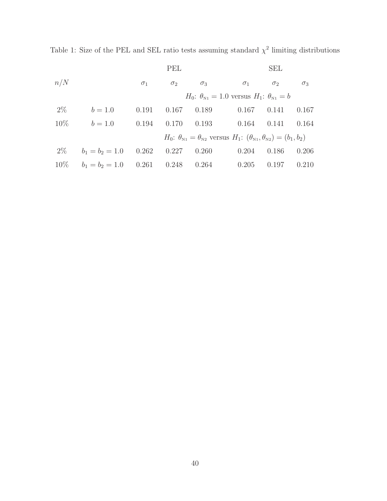<span id="page-39-0"></span>Table 1: Size of the PEL and SEL ratio tests assuming standard  $\chi^2$  limiting distributions

|        |                         |            | PEL        |            |                                                                                            | <b>SEL</b> |            |
|--------|-------------------------|------------|------------|------------|--------------------------------------------------------------------------------------------|------------|------------|
| n/N    |                         | $\sigma_1$ | $\sigma_2$ | $\sigma_3$ | $\sigma_1$                                                                                 | $\sigma_2$ | $\sigma_3$ |
|        |                         |            |            |            | $H_0$ : $\theta_{N_1} = 1.0$ versus $H_1$ : $\theta_{N_1} = b$                             |            |            |
| $2\%$  | $b = 1.0$               | 0.191      | 0.167      | 0.189      | 0.167                                                                                      | 0.141      | 0.167      |
| $10\%$ | $b = 1.0$               | 0.194      | 0.170      |            | $0.193$ $0.164$                                                                            | 0.141      | 0.164      |
|        |                         |            |            |            | $H_0: \theta_{N_1} = \theta_{N_2}$ versus $H_1: (\theta_{N_1}, \theta_{N_2}) = (b_1, b_2)$ |            |            |
| $2\%$  | $b_1 = b_2 = 1.0$ 0.262 |            | 0.227      | 0.260      | 0.204                                                                                      | 0.186      | 0.206      |
| $10\%$ | $b_1 = b_2 = 1.0$ 0.261 |            | 0.248      |            | $0.264$ $0.205$                                                                            | 0.197      | 0.210      |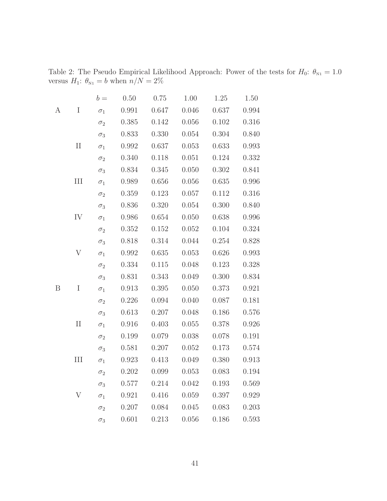|   |                    | $b =$      | 0.50  | 0.75  | 1.00  | $1.25\,$ | $1.50\,$ |
|---|--------------------|------------|-------|-------|-------|----------|----------|
| А | $\rm I$            | $\sigma_1$ | 0.991 | 0.647 | 0.046 | 0.637    | 0.994    |
|   |                    | $\sigma_2$ | 0.385 | 0.142 | 0.056 | 0.102    | 0.316    |
|   |                    | $\sigma_3$ | 0.833 | 0.330 | 0.054 | 0.304    | 0.840    |
|   | $\rm II$           | $\sigma_1$ | 0.992 | 0.637 | 0.053 | 0.633    | 0.993    |
|   |                    | $\sigma_2$ | 0.340 | 0.118 | 0.051 | 0.124    | 0.332    |
|   |                    | $\sigma_3$ | 0.834 | 0.345 | 0.050 | 0.302    | 0.841    |
|   | $\mathop{\rm III}$ | $\sigma_1$ | 0.989 | 0.656 | 0.056 | 0.635    | 0.996    |
|   |                    | $\sigma_2$ | 0.359 | 0.123 | 0.057 | 0.112    | 0.316    |
|   |                    | $\sigma_3$ | 0.836 | 0.320 | 0.054 | 0.300    | 0.840    |
|   | ${\rm IV}$         | $\sigma_1$ | 0.986 | 0.654 | 0.050 | 0.638    | 0.996    |
|   |                    | $\sigma_2$ | 0.352 | 0.152 | 0.052 | 0.104    | 0.324    |
|   |                    | $\sigma_3$ | 0.818 | 0.314 | 0.044 | 0.254    | 0.828    |
|   | V                  | $\sigma_1$ | 0.992 | 0.635 | 0.053 | 0.626    | 0.993    |
|   |                    | $\sigma_2$ | 0.334 | 0.115 | 0.048 | 0.123    | 0.328    |
|   |                    | $\sigma_3$ | 0.831 | 0.343 | 0.049 | 0.300    | 0.834    |
| B | $\mathbf I$        | $\sigma_1$ | 0.913 | 0.395 | 0.050 | 0.373    | 0.921    |
|   |                    | $\sigma_2$ | 0.226 | 0.094 | 0.040 | 0.087    | 0.181    |
|   |                    | $\sigma_3$ | 0.613 | 0.207 | 0.048 | 0.186    | 0.576    |
|   | $\rm II$           | $\sigma_1$ | 0.916 | 0.403 | 0.055 | 0.378    | 0.926    |
|   |                    | $\sigma_2$ | 0.199 | 0.079 | 0.038 | 0.078    | 0.191    |
|   |                    | $\sigma_3$ | 0.581 | 0.207 | 0.052 | 0.173    | 0.574    |
|   | III                | $\sigma_1$ | 0.923 | 0.413 | 0.049 | 0.380    | 0.913    |
|   |                    | $\sigma_2$ | 0.202 | 0.099 | 0.053 | 0.083    | 0.194    |
|   |                    | $\sigma_3$ | 0.577 | 0.214 | 0.042 | 0.193    | 0.569    |
|   | V                  | $\sigma_1$ | 0.921 | 0.416 | 0.059 | 0.397    | 0.929    |
|   |                    | $\sigma_2$ | 0.207 | 0.084 | 0.045 | 0.083    | 0.203    |
|   |                    | $\sigma_3$ | 0.601 | 0.213 | 0.056 | 0.186    | 0.593    |

<span id="page-40-0"></span>Table 2: The Pseudo Empirical Likelihood Approach: Power of the tests for  $H_0$ :  $\theta_{N_1} = 1.0$ versus  $H_1$ :  $\theta_{N1} = b$  when  $n/N = 2\%$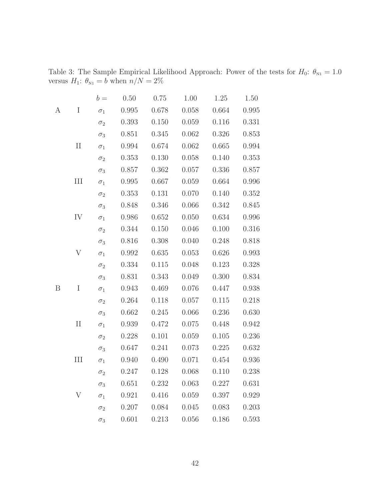|   |           | $b =$      | 0.50  | 0.75      | 1.00  | $1.25\,$  | $1.50\,$ |
|---|-----------|------------|-------|-----------|-------|-----------|----------|
| А | $\rm I$   | $\sigma_1$ | 0.995 | 0.678     | 0.058 | 0.664     | 0.995    |
|   |           | $\sigma_2$ | 0.393 | 0.150     | 0.059 | 0.116     | 0.331    |
|   |           | $\sigma_3$ | 0.851 | 0.345     | 0.062 | 0.326     | 0.853    |
|   | $\rm II$  | $\sigma_1$ | 0.994 | 0.674     | 0.062 | 0.665     | 0.994    |
|   |           | $\sigma_2$ | 0.353 | 0.130     | 0.058 | 0.140     | 0.353    |
|   |           | $\sigma_3$ | 0.857 | 0.362     | 0.057 | 0.336     | 0.857    |
|   | $\rm III$ | $\sigma_1$ | 0.995 | $0.667\,$ | 0.059 | $0.664\,$ | 0.996    |
|   |           | $\sigma_2$ | 0.353 | 0.131     | 0.070 | 0.140     | 0.352    |
|   |           | $\sigma_3$ | 0.848 | 0.346     | 0.066 | 0.342     | 0.845    |
|   | IV        | $\sigma_1$ | 0.986 | 0.652     | 0.050 | 0.634     | 0.996    |
|   |           | $\sigma_2$ | 0.344 | 0.150     | 0.046 | 0.100     | 0.316    |
|   |           | $\sigma_3$ | 0.816 | 0.308     | 0.040 | 0.248     | 0.818    |
|   | V         | $\sigma_1$ | 0.992 | 0.635     | 0.053 | 0.626     | 0.993    |
|   |           | $\sigma_2$ | 0.334 | $0.115\,$ | 0.048 | 0.123     | 0.328    |
|   |           | $\sigma_3$ | 0.831 | 0.343     | 0.049 | 0.300     | 0.834    |
| B | $\rm I$   | $\sigma_1$ | 0.943 | 0.469     | 0.076 | 0.447     | 0.938    |
|   |           | $\sigma_2$ | 0.264 | 0.118     | 0.057 | 0.115     | 0.218    |
|   |           | $\sigma_3$ | 0.662 | 0.245     | 0.066 | 0.236     | 0.630    |
|   | $\rm II$  | $\sigma_1$ | 0.939 | 0.472     | 0.075 | 0.448     | 0.942    |
|   |           | $\sigma_2$ | 0.228 | 0.101     | 0.059 | 0.105     | 0.236    |
|   |           | $\sigma_3$ | 0.647 | 0.241     | 0.073 | 0.225     | 0.632    |
|   | III       | $\sigma_1$ | 0.940 | 0.490     | 0.071 | 0.454     | 0.936    |
|   |           | $\sigma_2$ | 0.247 | 0.128     | 0.068 | 0.110     | 0.238    |
|   |           | $\sigma_3$ | 0.651 | 0.232     | 0.063 | 0.227     | 0.631    |
|   | V         | $\sigma_1$ | 0.921 | 0.416     | 0.059 | 0.397     | 0.929    |
|   |           | $\sigma_2$ | 0.207 | 0.084     | 0.045 | 0.083     | 0.203    |
|   |           | $\sigma_3$ | 0.601 | 0.213     | 0.056 | 0.186     | 0.593    |

<span id="page-41-0"></span>Table 3: The Sample Empirical Likelihood Approach: Power of the tests for  $H_0$ :  $\theta_{N_1} = 1.0$ versus  $H_1$ :  $\theta_{N1} = b$  when  $n/N = 2\%$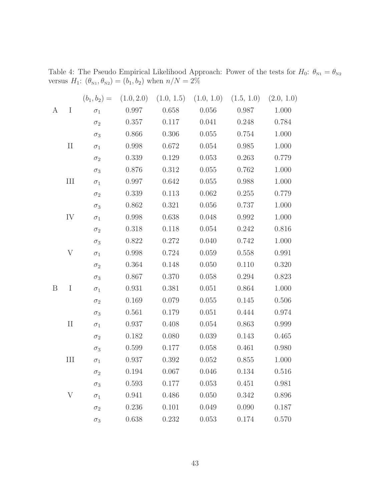|   |           |            |           | $(b_1, b_2) = (1.0, 2.0)$ $(1.0, 1.5)$ $(1.0, 1.0)$ $(1.5, 1.0)$ $(2.0, 1.0)$ |           |           |       |
|---|-----------|------------|-----------|-------------------------------------------------------------------------------|-----------|-----------|-------|
| A | I         | $\sigma_1$ | 0.997     | 0.658                                                                         | $0.056\,$ | 0.987     | 1.000 |
|   |           | $\sigma_2$ | 0.357     | 0.117                                                                         | 0.041     | 0.248     | 0.784 |
|   |           | $\sigma_3$ | 0.866     | 0.306                                                                         | 0.055     | 0.754     | 1.000 |
|   | $\rm II$  | $\sigma_1$ | 0.998     | 0.672                                                                         | 0.054     | 0.985     | 1.000 |
|   |           | $\sigma_2$ | 0.339     | 0.129                                                                         | 0.053     | 0.263     | 0.779 |
|   |           | $\sigma_3$ | 0.876     | 0.312                                                                         | 0.055     | 0.762     | 1.000 |
|   | $\rm III$ | $\sigma_1$ | 0.997     | 0.642                                                                         | 0.055     | 0.988     | 1.000 |
|   |           | $\sigma_2$ | 0.339     | 0.113                                                                         | 0.062     | 0.255     | 0.779 |
|   |           | $\sigma_3$ | 0.862     | 0.321                                                                         | 0.056     | 0.737     | 1.000 |
|   | IV        | $\sigma_1$ | 0.998     | 0.638                                                                         | 0.048     | 0.992     | 1.000 |
|   |           | $\sigma_2$ | 0.318     | 0.118                                                                         | 0.054     | 0.242     | 0.816 |
|   |           | $\sigma_3$ | 0.822     | 0.272                                                                         | 0.040     | 0.742     | 1.000 |
|   | V         | $\sigma_1$ | 0.998     | 0.724                                                                         | 0.059     | 0.558     | 0.991 |
|   |           | $\sigma_2$ | 0.364     | 0.148                                                                         | 0.050     | 0.110     | 0.320 |
|   |           | $\sigma_3$ | 0.867     | 0.370                                                                         | 0.058     | 0.294     | 0.823 |
| B | I         | $\sigma_1$ | 0.931     | 0.381                                                                         | 0.051     | 0.864     | 1.000 |
|   |           | $\sigma_2$ | 0.169     | 0.079                                                                         | 0.055     | 0.145     | 0.506 |
|   |           | $\sigma_3$ | 0.561     | 0.179                                                                         | 0.051     | 0.444     | 0.974 |
|   | $\rm II$  | $\sigma_1$ | $0.937\,$ | 0.408                                                                         | 0.054     | 0.863     | 0.999 |
|   |           | $\sigma_2$ | 0.182     | 0.080                                                                         | 0.039     | 0.143     | 0.465 |
|   |           | $\sigma_3$ | 0.599     | 0.177                                                                         | 0.058     | 0.461     | 0.980 |
|   | III       | $\sigma_1$ | 0.937     | 0.392                                                                         | 0.052     | 0.855     | 1.000 |
|   |           | $\sigma$   | 0.194     | 0.067                                                                         | 0.046     | 0.134     | 0.516 |
|   |           | $\sigma_3$ | 0.593     | 0.177                                                                         | 0.053     | 0.451     | 0.981 |
|   | V         | $\sigma_1$ | 0.941     | 0.486                                                                         | 0.050     | 0.342     | 0.896 |
|   |           | $\sigma_2$ | 0.236     | 0.101                                                                         | 0.049     | 0.090     | 0.187 |
|   |           | $\sigma_3$ | 0.638     | 0.232                                                                         | 0.053     | $0.174\,$ | 0.570 |

<span id="page-42-0"></span>Table 4: The Pseudo Empirical Likelihood Approach: Power of the tests for  $H_0: \theta_{N_1} = \theta_{N_2}$ versus  $H_1: (\theta_{N1}, \theta_{N2}) = (b_1, b_2)$  when  $n/N = 2\%$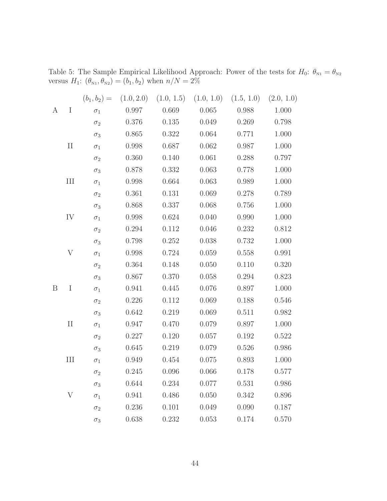|   |           |            |       | $(b_1, b_2) = (1.0, 2.0)$ $(1.0, 1.5)$ $(1.0, 1.0)$ $(1.5, 1.0)$ $(2.0, 1.0)$ |       |       |       |
|---|-----------|------------|-------|-------------------------------------------------------------------------------|-------|-------|-------|
| A | I         | $\sigma_1$ | 0.997 | 0.669                                                                         | 0.065 | 0.988 | 1.000 |
|   |           | $\sigma_2$ | 0.376 | 0.135                                                                         | 0.049 | 0.269 | 0.798 |
|   |           | $\sigma_3$ | 0.865 | 0.322                                                                         | 0.064 | 0.771 | 1.000 |
|   | $\rm II$  | $\sigma_1$ | 0.998 | 0.687                                                                         | 0.062 | 0.987 | 1.000 |
|   |           | $\sigma_2$ | 0.360 | 0.140                                                                         | 0.061 | 0.288 | 0.797 |
|   |           | $\sigma_3$ | 0.878 | 0.332                                                                         | 0.063 | 0.778 | 1.000 |
|   | $\rm III$ | $\sigma_1$ | 0.998 | 0.664                                                                         | 0.063 | 0.989 | 1.000 |
|   |           | $\sigma_2$ | 0.361 | 0.131                                                                         | 0.069 | 0.278 | 0.789 |
|   |           | $\sigma_3$ | 0.868 | 0.337                                                                         | 0.068 | 0.756 | 1.000 |
|   | IV        | $\sigma_1$ | 0.998 | 0.624                                                                         | 0.040 | 0.990 | 1.000 |
|   |           | $\sigma_2$ | 0.294 | 0.112                                                                         | 0.046 | 0.232 | 0.812 |
|   |           | $\sigma_3$ | 0.798 | 0.252                                                                         | 0.038 | 0.732 | 1.000 |
|   | V         | $\sigma_1$ | 0.998 | 0.724                                                                         | 0.059 | 0.558 | 0.991 |
|   |           | $\sigma_2$ | 0.364 | 0.148                                                                         | 0.050 | 0.110 | 0.320 |
|   |           | $\sigma_3$ | 0.867 | 0.370                                                                         | 0.058 | 0.294 | 0.823 |
| B | I         | $\sigma_1$ | 0.941 | 0.445                                                                         | 0.076 | 0.897 | 1.000 |
|   |           | $\sigma_2$ | 0.226 | 0.112                                                                         | 0.069 | 0.188 | 0.546 |
|   |           | $\sigma_3$ | 0.642 | 0.219                                                                         | 0.069 | 0.511 | 0.982 |
|   | $\rm II$  | $\sigma_1$ | 0.947 | 0.470                                                                         | 0.079 | 0.897 | 1.000 |
|   |           | $\sigma_2$ | 0.227 | 0.120                                                                         | 0.057 | 0.192 | 0.522 |
|   |           | $\sigma_3$ | 0.645 | 0.219                                                                         | 0.079 | 0.526 | 0.986 |
|   | III       | $\sigma_1$ | 0.949 | 0.454                                                                         | 0.075 | 0.893 | 1.000 |
|   |           | $\sigma$   | 0.245 | 0.096                                                                         | 0.066 | 0.178 | 0.577 |
|   |           | $\sigma_3$ | 0.644 | 0.234                                                                         | 0.077 | 0.531 | 0.986 |
|   | V         | $\sigma_1$ | 0.941 | 0.486                                                                         | 0.050 | 0.342 | 0.896 |
|   |           | $\sigma_2$ | 0.236 | 0.101                                                                         | 0.049 | 0.090 | 0.187 |
|   |           | $\sigma_3$ | 0.638 | 0.232                                                                         | 0.053 | 0.174 | 0.570 |

<span id="page-43-0"></span>Table 5: The Sample Empirical Likelihood Approach: Power of the tests for  $H_0: \theta_{N_1} = \theta_{N_2}$ versus  $H_1: (\theta_{N1}, \theta_{N2}) = (b_1, b_2)$  when  $n/N = 2\%$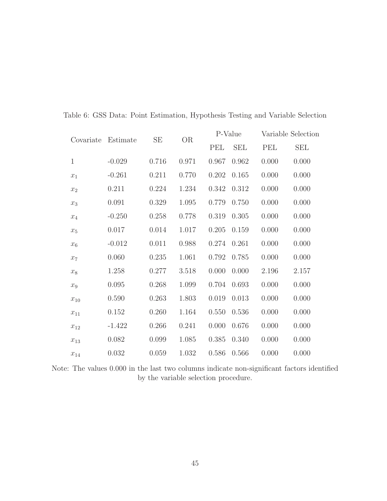| Covariate    | Estimate | $\rm SE$ | <b>OR</b> |       | P-Value    | Variable Selection |            |
|--------------|----------|----------|-----------|-------|------------|--------------------|------------|
|              |          |          |           | PEL   | <b>SEL</b> | <b>PEL</b>         | <b>SEL</b> |
| $\mathbf{1}$ | $-0.029$ | 0.716    | 0.971     | 0.967 | 0.962      | 0.000              | 0.000      |
| $x_1$        | $-0.261$ | 0.211    | 0.770     | 0.202 | 0.165      | 0.000              | 0.000      |
| $x_2$        | 0.211    | 0.224    | 1.234     | 0.342 | 0.312      | 0.000              | 0.000      |
| $x_3$        | 0.091    | 0.329    | 1.095     | 0.779 | 0.750      | 0.000              | 0.000      |
| $x_4$        | $-0.250$ | 0.258    | 0.778     | 0.319 | 0.305      | 0.000              | 0.000      |
| $x_5$        | 0.017    | 0.014    | 1.017     | 0.205 | 0.159      | 0.000              | 0.000      |
| $x_6$        | $-0.012$ | 0.011    | 0.988     | 0.274 | 0.261      | 0.000              | 0.000      |
| $x_7$        | 0.060    | 0.235    | 1.061     | 0.792 | 0.785      | 0.000              | 0.000      |
| $x_8$        | 1.258    | 0.277    | 3.518     | 0.000 | 0.000      | 2.196              | 2.157      |
| $x_9$        | 0.095    | 0.268    | 1.099     | 0.704 | 0.693      | 0.000              | 0.000      |
| $x_{10}$     | 0.590    | 0.263    | 1.803     | 0.019 | 0.013      | 0.000              | 0.000      |
| $x_{11}$     | 0.152    | 0.260    | 1.164     | 0.550 | 0.536      | 0.000              | 0.000      |
| $x_{12}$     | $-1.422$ | 0.266    | 0.241     | 0.000 | 0.676      | 0.000              | 0.000      |
| $x_{13}$     | 0.082    | 0.099    | 1.085     | 0.385 | 0.340      | 0.000              | 0.000      |
| $x_{14}$     | 0.032    | 0.059    | 1.032     | 0.586 | 0.566      | 0.000              | 0.000      |
|              |          |          |           |       |            |                    |            |

<span id="page-44-0"></span>Table 6: GSS Data: Point Estimation, Hypothesis Testing and Variable Selection

Note: The values 0.000 in the last two columns indicate non-significant factors identified by the variable selection procedure.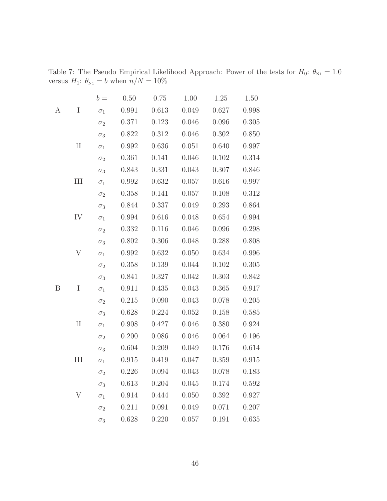|   |          | $b =$      | 0.50  | 0.75  | 1.00      | 1.25      | 1.50  |
|---|----------|------------|-------|-------|-----------|-----------|-------|
| А | I        | $\sigma_1$ | 0.991 | 0.613 | 0.049     | 0.627     | 0.998 |
|   |          | $\sigma_2$ | 0.371 | 0.123 | 0.046     | 0.096     | 0.305 |
|   |          | $\sigma_3$ | 0.822 | 0.312 | 0.046     | 0.302     | 0.850 |
|   | $\rm II$ | $\sigma_1$ | 0.992 | 0.636 | 0.051     | 0.640     | 0.997 |
|   |          | $\sigma_2$ | 0.361 | 0.141 | 0.046     | $0.102\,$ | 0.314 |
|   |          | $\sigma_3$ | 0.843 | 0.331 | 0.043     | 0.307     | 0.846 |
|   | III      | $\sigma_1$ | 0.992 | 0.632 | 0.057     | 0.616     | 0.997 |
|   |          | $\sigma_2$ | 0.358 | 0.141 | 0.057     | 0.108     | 0.312 |
|   |          | $\sigma_3$ | 0.844 | 0.337 | 0.049     | 0.293     | 0.864 |
|   | IV       | $\sigma_1$ | 0.994 | 0.616 | 0.048     | 0.654     | 0.994 |
|   |          | $\sigma_2$ | 0.332 | 0.116 | $0.046\,$ | 0.096     | 0.298 |
|   |          | $\sigma_3$ | 0.802 | 0.306 | 0.048     | 0.288     | 0.808 |
|   | V        | $\sigma_1$ | 0.992 | 0.632 | 0.050     | 0.634     | 0.996 |
|   |          | $\sigma_2$ | 0.358 | 0.139 | 0.044     | 0.102     | 0.305 |
|   |          | $\sigma_3$ | 0.841 | 0.327 | 0.042     | 0.303     | 0.842 |
| B | $\rm I$  | $\sigma_1$ | 0.911 | 0.435 | 0.043     | 0.365     | 0.917 |
|   |          | $\sigma_2$ | 0.215 | 0.090 | 0.043     | 0.078     | 0.205 |
|   |          | $\sigma_3$ | 0.628 | 0.224 | 0.052     | 0.158     | 0.585 |
|   | $\rm II$ | $\sigma_1$ | 0.908 | 0.427 | 0.046     | 0.380     | 0.924 |
|   |          | $\sigma_2$ | 0.200 | 0.086 | 0.046     | 0.064     | 0.196 |
|   |          | $\sigma_3$ | 0.604 | 0.209 | 0.049     | 0.176     | 0.614 |
|   | III      | $\sigma_1$ | 0.915 | 0.419 | 0.047     | 0.359     | 0.915 |
|   |          | $\sigma_2$ | 0.226 | 0.094 | 0.043     | 0.078     | 0.183 |
|   |          | $\sigma_3$ | 0.613 | 0.204 | 0.045     | 0.174     | 0.592 |
|   | V        | $\sigma_1$ | 0.914 | 0.444 | 0.050     | 0.392     | 0.927 |
|   |          | $\sigma_2$ | 0.211 | 0.091 | 0.049     | 0.071     | 0.207 |
|   |          | $\sigma_3$ | 0.628 | 0.220 | 0.057     | 0.191     | 0.635 |

<span id="page-45-0"></span>Table 7: The Pseudo Empirical Likelihood Approach: Power of the tests for  $H_0$ :  $\theta_{N_1} = 1.0$ versus  $H_1$ :  $\theta_{N1} = b$  when  $n/N = 10\%$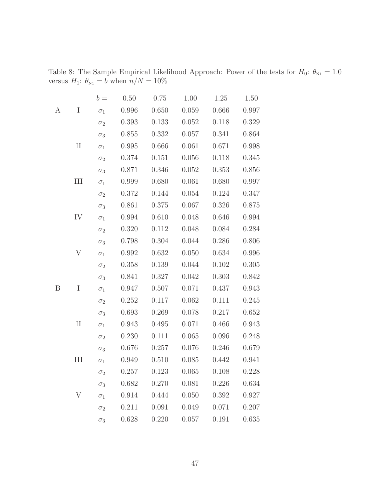|   |           | $b =$      | 0.50  | 0.75      | 1.00      | 1.25  | 1.50  |
|---|-----------|------------|-------|-----------|-----------|-------|-------|
| А | $\rm I$   | $\sigma_1$ | 0.996 | 0.650     | 0.059     | 0.666 | 0.997 |
|   |           | $\sigma_2$ | 0.393 | 0.133     | 0.052     | 0.118 | 0.329 |
|   |           | $\sigma_3$ | 0.855 | $0.332\,$ | 0.057     | 0.341 | 0.864 |
|   | $\rm II$  | $\sigma_1$ | 0.995 | $0.666\,$ | 0.061     | 0.671 | 0.998 |
|   |           | $\sigma_2$ | 0.374 | 0.151     | 0.056     | 0.118 | 0.345 |
|   |           | $\sigma_3$ | 0.871 | 0.346     | 0.052     | 0.353 | 0.856 |
|   | $\rm III$ | $\sigma_1$ | 0.999 | 0.680     | 0.061     | 0.680 | 0.997 |
|   |           | $\sigma_2$ | 0.372 | 0.144     | 0.054     | 0.124 | 0.347 |
|   |           | $\sigma_3$ | 0.861 | 0.375     | 0.067     | 0.326 | 0.875 |
|   | IV        | $\sigma_1$ | 0.994 | 0.610     | 0.048     | 0.646 | 0.994 |
|   |           | $\sigma_2$ | 0.320 | 0.112     | 0.048     | 0.084 | 0.284 |
|   |           | $\sigma_3$ | 0.798 | 0.304     | 0.044     | 0.286 | 0.806 |
|   | V         | $\sigma_1$ | 0.992 | 0.632     | 0.050     | 0.634 | 0.996 |
|   |           | $\sigma_2$ | 0.358 | 0.139     | 0.044     | 0.102 | 0.305 |
|   |           | $\sigma_3$ | 0.841 | 0.327     | 0.042     | 0.303 | 0.842 |
| B | $\rm I$   | $\sigma_1$ | 0.947 | 0.507     | 0.071     | 0.437 | 0.943 |
|   |           | $\sigma_2$ | 0.252 | $0.117\,$ | 0.062     | 0.111 | 0.245 |
|   |           | $\sigma_3$ | 0.693 | 0.269     | 0.078     | 0.217 | 0.652 |
|   | $\rm II$  | $\sigma_1$ | 0.943 | 0.495     | 0.071     | 0.466 | 0.943 |
|   |           | $\sigma_2$ | 0.230 | 0.111     | 0.065     | 0.096 | 0.248 |
|   |           | $\sigma_3$ | 0.676 | 0.257     | 0.076     | 0.246 | 0.679 |
|   | III       | $\sigma_1$ | 0.949 | 0.510     | 0.085     | 0.442 | 0.941 |
|   |           | $\sigma_2$ | 0.257 | 0.123     | 0.065     | 0.108 | 0.228 |
|   |           | $\sigma_3$ | 0.682 | 0.270     | 0.081     | 0.226 | 0.634 |
|   | V         | $\sigma_1$ | 0.914 | 0.444     | 0.050     | 0.392 | 0.927 |
|   |           | $\sigma_2$ | 0.211 | 0.091     | 0.049     | 0.071 | 0.207 |
|   |           | $\sigma_3$ | 0.628 | 0.220     | $0.057\,$ | 0.191 | 0.635 |

<span id="page-46-0"></span>Table 8: The Sample Empirical Likelihood Approach: Power of the tests for  $H_0$ :  $\theta_{N_1} = 1.0$ versus  $H_1$ :  $\theta_{N1} = b$  when  $n/N = 10\%$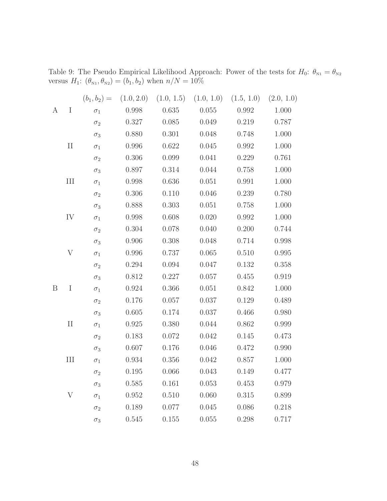|   |           |            |       | $(b_1, b_2) = (1.0, 2.0)$ $(1.0, 1.5)$ $(1.0, 1.0)$ $(1.5, 1.0)$ $(2.0, 1.0)$ |       |           |       |
|---|-----------|------------|-------|-------------------------------------------------------------------------------|-------|-----------|-------|
| A | I         | $\sigma_1$ | 0.998 | 0.635                                                                         | 0.055 | 0.992     | 1.000 |
|   |           | $\sigma_2$ | 0.327 | 0.085                                                                         | 0.049 | 0.219     | 0.787 |
|   |           | $\sigma_3$ | 0.880 | 0.301                                                                         | 0.048 | 0.748     | 1.000 |
|   | $\rm II$  | $\sigma_1$ | 0.996 | 0.622                                                                         | 0.045 | 0.992     | 1.000 |
|   |           | $\sigma_2$ | 0.306 | 0.099                                                                         | 0.041 | 0.229     | 0.761 |
|   |           | $\sigma_3$ | 0.897 | 0.314                                                                         | 0.044 | 0.758     | 1.000 |
|   | $\rm III$ | $\sigma_1$ | 0.998 | 0.636                                                                         | 0.051 | 0.991     | 1.000 |
|   |           | $\sigma_2$ | 0.306 | 0.110                                                                         | 0.046 | 0.239     | 0.780 |
|   |           | $\sigma_3$ | 0.888 | 0.303                                                                         | 0.051 | 0.758     | 1.000 |
|   | IV        | $\sigma_1$ | 0.998 | 0.608                                                                         | 0.020 | 0.992     | 1.000 |
|   |           | $\sigma_2$ | 0.304 | 0.078                                                                         | 0.040 | 0.200     | 0.744 |
|   |           | $\sigma_3$ | 0.906 | 0.308                                                                         | 0.048 | 0.714     | 0.998 |
|   | V         | $\sigma_1$ | 0.996 | 0.737                                                                         | 0.065 | 0.510     | 0.995 |
|   |           | $\sigma_2$ | 0.294 | 0.094                                                                         | 0.047 | 0.132     | 0.358 |
|   |           | $\sigma_3$ | 0.812 | 0.227                                                                         | 0.057 | 0.455     | 0.919 |
| B | I         | $\sigma_1$ | 0.924 | 0.366                                                                         | 0.051 | 0.842     | 1.000 |
|   |           | $\sigma_2$ | 0.176 | 0.057                                                                         | 0.037 | 0.129     | 0.489 |
|   |           | $\sigma_3$ | 0.605 | 0.174                                                                         | 0.037 | 0.466     | 0.980 |
|   | $\rm II$  | $\sigma_1$ | 0.925 | 0.380                                                                         | 0.044 | $0.862\,$ | 0.999 |
|   |           | $\sigma_2$ | 0.183 | 0.072                                                                         | 0.042 | 0.145     | 0.473 |
|   |           | $\sigma_3$ | 0.607 | 0.176                                                                         | 0.046 | 0.472     | 0.990 |
|   | III       | $\sigma_1$ | 0.934 | 0.356                                                                         | 0.042 | 0.857     | 1.000 |
|   |           | $\sigma$   | 0.195 | 0.066                                                                         | 0.043 | 0.149     | 0.477 |
|   |           | $\sigma_3$ | 0.585 | 0.161                                                                         | 0.053 | 0.453     | 0.979 |
|   | V         | $\sigma_1$ | 0.952 | 0.510                                                                         | 0.060 | 0.315     | 0.899 |
|   |           | $\sigma_2$ | 0.189 | 0.077                                                                         | 0.045 | 0.086     | 0.218 |
|   |           | $\sigma_3$ | 0.545 | 0.155                                                                         | 0.055 | 0.298     | 0.717 |

<span id="page-47-0"></span>Table 9: The Pseudo Empirical Likelihood Approach: Power of the tests for  $H_0: \theta_{N_1} = \theta_{N_2}$ versus  $H_1: (\theta_{N1}, \theta_{N2}) = (b_1, b_2)$  when  $n/N = 10\%$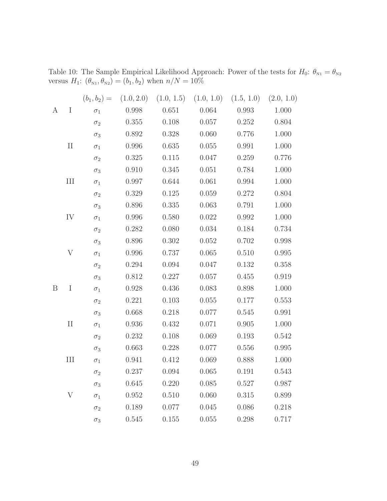|   |           |            |           | $(b_1, b_2) = (1.0, 2.0)$ $(1.0, 1.5)$ $(1.0, 1.0)$ $(1.5, 1.0)$ $(2.0, 1.0)$ |           |       |       |
|---|-----------|------------|-----------|-------------------------------------------------------------------------------|-----------|-------|-------|
| A | I         | $\sigma_1$ | 0.998     | 0.651                                                                         | 0.064     | 0.993 | 1.000 |
|   |           | $\sigma_2$ | 0.355     | 0.108                                                                         | 0.057     | 0.252 | 0.804 |
|   |           | $\sigma_3$ | 0.892     | 0.328                                                                         | 0.060     | 0.776 | 1.000 |
|   | $\rm II$  | $\sigma_1$ | 0.996     | 0.635                                                                         | 0.055     | 0.991 | 1.000 |
|   |           | $\sigma_2$ | 0.325     | 0.115                                                                         | 0.047     | 0.259 | 0.776 |
|   |           | $\sigma_3$ | 0.910     | 0.345                                                                         | 0.051     | 0.784 | 1.000 |
|   | $\rm III$ | $\sigma_1$ | 0.997     | 0.644                                                                         | 0.061     | 0.994 | 1.000 |
|   |           | $\sigma_2$ | 0.329     | 0.125                                                                         | 0.059     | 0.272 | 0.804 |
|   |           | $\sigma_3$ | 0.896     | 0.335                                                                         | $0.063\,$ | 0.791 | 1.000 |
|   | IV        | $\sigma_1$ | $0.996\,$ | 0.580                                                                         | 0.022     | 0.992 | 1.000 |
|   |           | $\sigma_2$ | 0.282     | 0.080                                                                         | 0.034     | 0.184 | 0.734 |
|   |           | $\sigma_3$ | 0.896     | 0.302                                                                         | 0.052     | 0.702 | 0.998 |
|   | V         | $\sigma_1$ | 0.996     | 0.737                                                                         | 0.065     | 0.510 | 0.995 |
|   |           | $\sigma_2$ | 0.294     | 0.094                                                                         | 0.047     | 0.132 | 0.358 |
|   |           | $\sigma_3$ | 0.812     | 0.227                                                                         | 0.057     | 0.455 | 0.919 |
| B | I         | $\sigma_1$ | 0.928     | 0.436                                                                         | 0.083     | 0.898 | 1.000 |
|   |           | $\sigma_2$ | 0.221     | 0.103                                                                         | 0.055     | 0.177 | 0.553 |
|   |           | $\sigma_3$ | 0.668     | 0.218                                                                         | 0.077     | 0.545 | 0.991 |
|   | $\rm II$  | $\sigma_1$ | 0.936     | 0.432                                                                         | $0.071\,$ | 0.905 | 1.000 |
|   |           | $\sigma_2$ | 0.232     | 0.108                                                                         | 0.069     | 0.193 | 0.542 |
|   |           | $\sigma_3$ | 0.663     | 0.228                                                                         | 0.077     | 0.556 | 0.995 |
|   | III       | $\sigma_1$ | 0.941     | 0.412                                                                         | 0.069     | 0.888 | 1.000 |
|   |           | $\sigma$   | 0.237     | 0.094                                                                         | 0.065     | 0.191 | 0.543 |
|   |           | $\sigma_3$ | 0.645     | 0.220                                                                         | 0.085     | 0.527 | 0.987 |
|   | V         | $\sigma_1$ | 0.952     | 0.510                                                                         | 0.060     | 0.315 | 0.899 |
|   |           | $\sigma_2$ | 0.189     | 0.077                                                                         | 0.045     | 0.086 | 0.218 |
|   |           | $\sigma_3$ | 0.545     | 0.155                                                                         | 0.055     | 0.298 | 0.717 |

<span id="page-48-0"></span>Table 10: The Sample Empirical Likelihood Approach: Power of the tests for  $H_0: \theta_{N_1} = \theta_{N_2}$ versus  $H_1: (\theta_{N1}, \theta_{N2}) = (b_1, b_2)$  when  $n/N = 10\%$